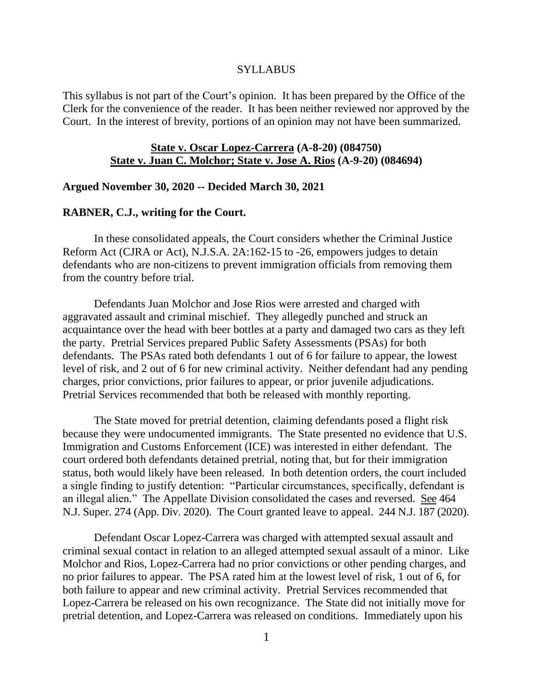#### **SYLLABUS**

This syllabus is not part of the Court's opinion. It has been prepared by the Office of the Clerk for the convenience of the reader. It has been neither reviewed nor approved by the Court. In the interest of brevity, portions of an opinion may not have been summarized.

# **State v. Oscar Lopez-Carrera (A-8-20) (084750) State v. Juan C. Molchor; State v. Jose A. Rios (A-9-20) (084694)**

#### **Argued November 30, 2020 -- Decided March 30, 2021**

#### **RABNER, C.J., writing for the Court.**

In these consolidated appeals, the Court considers whether the Criminal Justice Reform Act (CJRA or Act), N.J.S.A. 2A:162-15 to -26, empowers judges to detain defendants who are non-citizens to prevent immigration officials from removing them from the country before trial.

Defendants Juan Molchor and Jose Rios were arrested and charged with aggravated assault and criminal mischief. They allegedly punched and struck an acquaintance over the head with beer bottles at a party and damaged two cars as they left the party. Pretrial Services prepared Public Safety Assessments (PSAs) for both defendants. The PSAs rated both defendants 1 out of 6 for failure to appear, the lowest level of risk, and 2 out of 6 for new criminal activity. Neither defendant had any pending charges, prior convictions, prior failures to appear, or prior juvenile adjudications. Pretrial Services recommended that both be released with monthly reporting.

The State moved for pretrial detention, claiming defendants posed a flight risk because they were undocumented immigrants. The State presented no evidence that U.S. Immigration and Customs Enforcement (ICE) was interested in either defendant. The court ordered both defendants detained pretrial, noting that, but for their immigration status, both would likely have been released. In both detention orders, the court included a single finding to justify detention: "Particular circumstances, specifically, defendant is an illegal alien." The Appellate Division consolidated the cases and reversed. See 464 N.J. Super. 274 (App. Div. 2020). The Court granted leave to appeal. 244 N.J. 187 (2020).

Defendant Oscar Lopez-Carrera was charged with attempted sexual assault and criminal sexual contact in relation to an alleged attempted sexual assault of a minor. Like Molchor and Rios, Lopez-Carrera had no prior convictions or other pending charges, and no prior failures to appear. The PSA rated him at the lowest level of risk, 1 out of 6, for both failure to appear and new criminal activity. Pretrial Services recommended that Lopez-Carrera be released on his own recognizance. The State did not initially move for pretrial detention, and Lopez-Carrera was released on conditions. Immediately upon his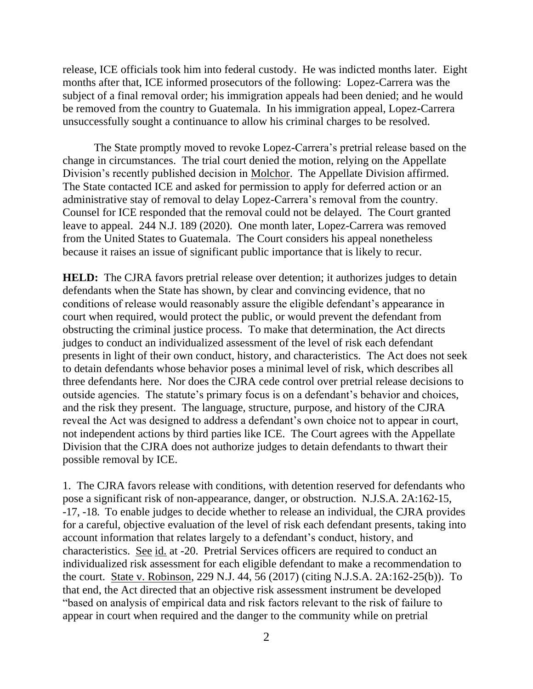release, ICE officials took him into federal custody. He was indicted months later. Eight months after that, ICE informed prosecutors of the following: Lopez-Carrera was the subject of a final removal order; his immigration appeals had been denied; and he would be removed from the country to Guatemala. In his immigration appeal, Lopez-Carrera unsuccessfully sought a continuance to allow his criminal charges to be resolved.

The State promptly moved to revoke Lopez-Carrera's pretrial release based on the change in circumstances. The trial court denied the motion, relying on the Appellate Division's recently published decision in Molchor. The Appellate Division affirmed. The State contacted ICE and asked for permission to apply for deferred action or an administrative stay of removal to delay Lopez-Carrera's removal from the country. Counsel for ICE responded that the removal could not be delayed. The Court granted leave to appeal. 244 N.J. 189 (2020). One month later, Lopez-Carrera was removed from the United States to Guatemala. The Court considers his appeal nonetheless because it raises an issue of significant public importance that is likely to recur.

**HELD:** The CJRA favors pretrial release over detention; it authorizes judges to detain defendants when the State has shown, by clear and convincing evidence, that no conditions of release would reasonably assure the eligible defendant's appearance in court when required, would protect the public, or would prevent the defendant from obstructing the criminal justice process. To make that determination, the Act directs judges to conduct an individualized assessment of the level of risk each defendant presents in light of their own conduct, history, and characteristics. The Act does not seek to detain defendants whose behavior poses a minimal level of risk, which describes all three defendants here. Nor does the CJRA cede control over pretrial release decisions to outside agencies. The statute's primary focus is on a defendant's behavior and choices, and the risk they present. The language, structure, purpose, and history of the CJRA reveal the Act was designed to address a defendant's own choice not to appear in court, not independent actions by third parties like ICE. The Court agrees with the Appellate Division that the CJRA does not authorize judges to detain defendants to thwart their possible removal by ICE.

1. The CJRA favors release with conditions, with detention reserved for defendants who pose a significant risk of non-appearance, danger, or obstruction. N.J.S.A. 2A:162-15, -17, -18. To enable judges to decide whether to release an individual, the CJRA provides for a careful, objective evaluation of the level of risk each defendant presents, taking into account information that relates largely to a defendant's conduct, history, and characteristics. See id. at -20. Pretrial Services officers are required to conduct an individualized risk assessment for each eligible defendant to make a recommendation to the court. State v. Robinson, 229 N.J. 44, 56 (2017) (citing N.J.S.A. 2A:162-25(b)). To that end, the Act directed that an objective risk assessment instrument be developed "based on analysis of empirical data and risk factors relevant to the risk of failure to appear in court when required and the danger to the community while on pretrial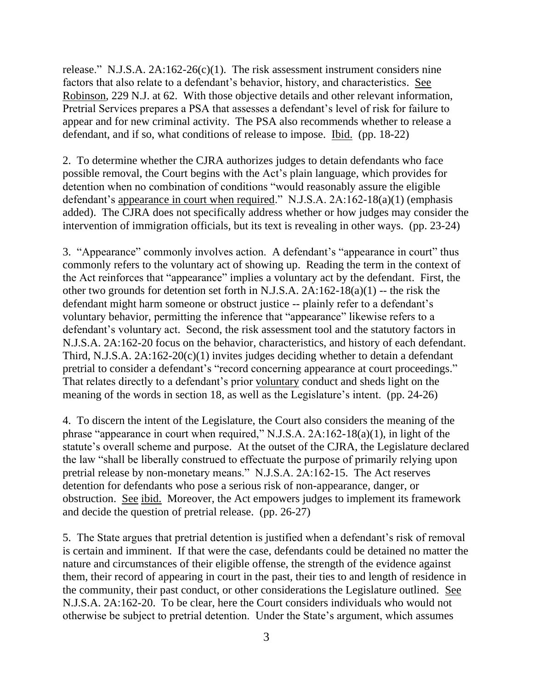release." N.J.S.A. 2A:162-26(c)(1). The risk assessment instrument considers nine factors that also relate to a defendant's behavior, history, and characteristics. See Robinson, 229 N.J. at 62. With those objective details and other relevant information, Pretrial Services prepares a PSA that assesses a defendant's level of risk for failure to appear and for new criminal activity. The PSA also recommends whether to release a defendant, and if so, what conditions of release to impose. Ibid. (pp. 18-22)

2. To determine whether the CJRA authorizes judges to detain defendants who face possible removal, the Court begins with the Act's plain language, which provides for detention when no combination of conditions "would reasonably assure the eligible defendant's appearance in court when required." N.J.S.A. 2A:162-18(a)(1) (emphasis added). The CJRA does not specifically address whether or how judges may consider the intervention of immigration officials, but its text is revealing in other ways. (pp. 23-24)

3. "Appearance" commonly involves action. A defendant's "appearance in court" thus commonly refers to the voluntary act of showing up. Reading the term in the context of the Act reinforces that "appearance" implies a voluntary act by the defendant. First, the other two grounds for detention set forth in N.J.S.A. 2A:162-18(a)(1) -- the risk the defendant might harm someone or obstruct justice -- plainly refer to a defendant's voluntary behavior, permitting the inference that "appearance" likewise refers to a defendant's voluntary act. Second, the risk assessment tool and the statutory factors in N.J.S.A. 2A:162-20 focus on the behavior, characteristics, and history of each defendant. Third, N.J.S.A.  $2A:162-20(c)(1)$  invites judges deciding whether to detain a defendant pretrial to consider a defendant's "record concerning appearance at court proceedings." That relates directly to a defendant's prior voluntary conduct and sheds light on the meaning of the words in section 18, as well as the Legislature's intent. (pp. 24-26)

4. To discern the intent of the Legislature, the Court also considers the meaning of the phrase "appearance in court when required," N.J.S.A. 2A:162-18(a)(1), in light of the statute's overall scheme and purpose. At the outset of the CJRA, the Legislature declared the law "shall be liberally construed to effectuate the purpose of primarily relying upon pretrial release by non-monetary means." N.J.S.A. 2A:162-15. The Act reserves detention for defendants who pose a serious risk of non-appearance, danger, or obstruction. See ibid. Moreover, the Act empowers judges to implement its framework and decide the question of pretrial release. (pp. 26-27)

5. The State argues that pretrial detention is justified when a defendant's risk of removal is certain and imminent. If that were the case, defendants could be detained no matter the nature and circumstances of their eligible offense, the strength of the evidence against them, their record of appearing in court in the past, their ties to and length of residence in the community, their past conduct, or other considerations the Legislature outlined. See N.J.S.A. 2A:162-20. To be clear, here the Court considers individuals who would not otherwise be subject to pretrial detention. Under the State's argument, which assumes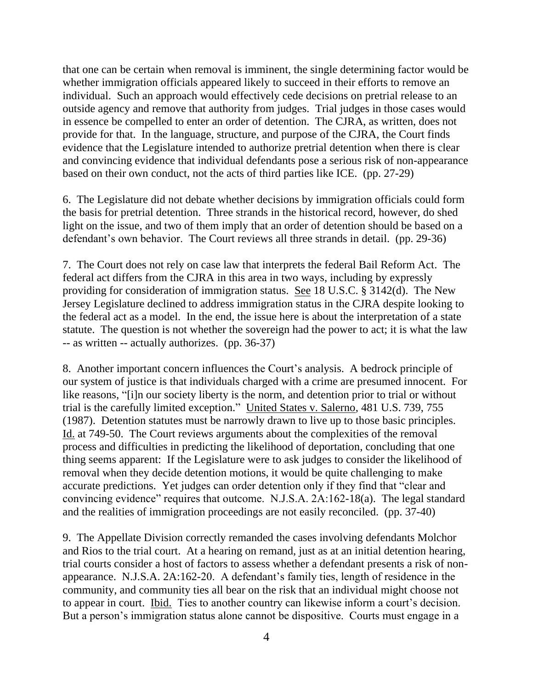that one can be certain when removal is imminent, the single determining factor would be whether immigration officials appeared likely to succeed in their efforts to remove an individual. Such an approach would effectively cede decisions on pretrial release to an outside agency and remove that authority from judges. Trial judges in those cases would in essence be compelled to enter an order of detention. The CJRA, as written, does not provide for that. In the language, structure, and purpose of the CJRA, the Court finds evidence that the Legislature intended to authorize pretrial detention when there is clear and convincing evidence that individual defendants pose a serious risk of non-appearance based on their own conduct, not the acts of third parties like ICE. (pp. 27-29)

6. The Legislature did not debate whether decisions by immigration officials could form the basis for pretrial detention. Three strands in the historical record, however, do shed light on the issue, and two of them imply that an order of detention should be based on a defendant's own behavior. The Court reviews all three strands in detail. (pp. 29-36)

7. The Court does not rely on case law that interprets the federal Bail Reform Act. The federal act differs from the CJRA in this area in two ways, including by expressly providing for consideration of immigration status. See 18 U.S.C. § 3142(d). The New Jersey Legislature declined to address immigration status in the CJRA despite looking to the federal act as a model. In the end, the issue here is about the interpretation of a state statute. The question is not whether the sovereign had the power to act; it is what the law -- as written -- actually authorizes. (pp. 36-37)

8. Another important concern influences the Court's analysis. A bedrock principle of our system of justice is that individuals charged with a crime are presumed innocent. For like reasons, "[i]n our society liberty is the norm, and detention prior to trial or without trial is the carefully limited exception." United States v. Salerno, 481 U.S. 739, 755 (1987). Detention statutes must be narrowly drawn to live up to those basic principles. Id. at 749-50. The Court reviews arguments about the complexities of the removal process and difficulties in predicting the likelihood of deportation, concluding that one thing seems apparent: If the Legislature were to ask judges to consider the likelihood of removal when they decide detention motions, it would be quite challenging to make accurate predictions. Yet judges can order detention only if they find that "clear and convincing evidence" requires that outcome. N.J.S.A. 2A:162-18(a). The legal standard and the realities of immigration proceedings are not easily reconciled. (pp. 37-40)

9. The Appellate Division correctly remanded the cases involving defendants Molchor and Rios to the trial court. At a hearing on remand, just as at an initial detention hearing, trial courts consider a host of factors to assess whether a defendant presents a risk of nonappearance. N.J.S.A. 2A:162-20. A defendant's family ties, length of residence in the community, and community ties all bear on the risk that an individual might choose not to appear in court. Ibid. Ties to another country can likewise inform a court's decision. But a person's immigration status alone cannot be dispositive. Courts must engage in a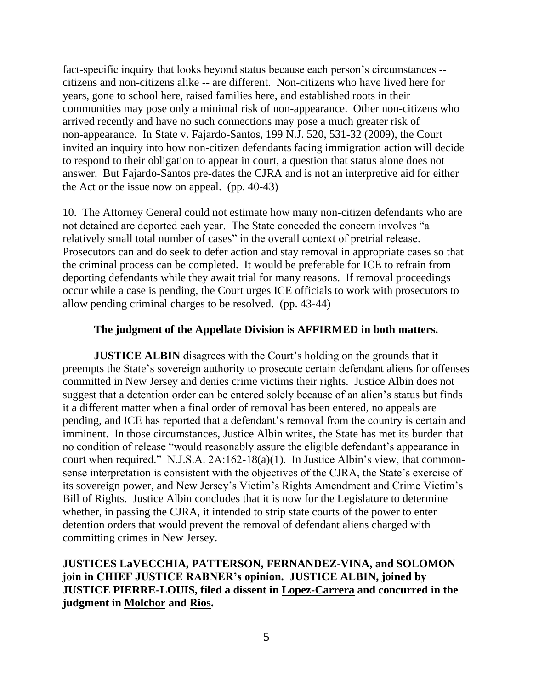fact-specific inquiry that looks beyond status because each person's circumstances - citizens and non-citizens alike -- are different. Non-citizens who have lived here for years, gone to school here, raised families here, and established roots in their communities may pose only a minimal risk of non-appearance. Other non-citizens who arrived recently and have no such connections may pose a much greater risk of non-appearance. In State v. Fajardo-Santos, 199 N.J. 520, 531-32 (2009), the Court invited an inquiry into how non-citizen defendants facing immigration action will decide to respond to their obligation to appear in court, a question that status alone does not answer. But Fajardo-Santos pre-dates the CJRA and is not an interpretive aid for either the Act or the issue now on appeal. (pp. 40-43)

10. The Attorney General could not estimate how many non-citizen defendants who are not detained are deported each year. The State conceded the concern involves "a relatively small total number of cases" in the overall context of pretrial release. Prosecutors can and do seek to defer action and stay removal in appropriate cases so that the criminal process can be completed. It would be preferable for ICE to refrain from deporting defendants while they await trial for many reasons. If removal proceedings occur while a case is pending, the Court urges ICE officials to work with prosecutors to allow pending criminal charges to be resolved. (pp. 43-44)

# **The judgment of the Appellate Division is AFFIRMED in both matters.**

**JUSTICE ALBIN** disagrees with the Court's holding on the grounds that it preempts the State's sovereign authority to prosecute certain defendant aliens for offenses committed in New Jersey and denies crime victims their rights. Justice Albin does not suggest that a detention order can be entered solely because of an alien's status but finds it a different matter when a final order of removal has been entered, no appeals are pending, and ICE has reported that a defendant's removal from the country is certain and imminent. In those circumstances, Justice Albin writes, the State has met its burden that no condition of release "would reasonably assure the eligible defendant's appearance in court when required." N.J.S.A. 2A:162-18(a)(1). In Justice Albin's view, that commonsense interpretation is consistent with the objectives of the CJRA, the State's exercise of its sovereign power, and New Jersey's Victim's Rights Amendment and Crime Victim's Bill of Rights. Justice Albin concludes that it is now for the Legislature to determine whether, in passing the CJRA, it intended to strip state courts of the power to enter detention orders that would prevent the removal of defendant aliens charged with committing crimes in New Jersey.

**JUSTICES LaVECCHIA, PATTERSON, FERNANDEZ-VINA, and SOLOMON join in CHIEF JUSTICE RABNER's opinion. JUSTICE ALBIN, joined by JUSTICE PIERRE-LOUIS, filed a dissent in Lopez-Carrera and concurred in the judgment in Molchor and Rios.**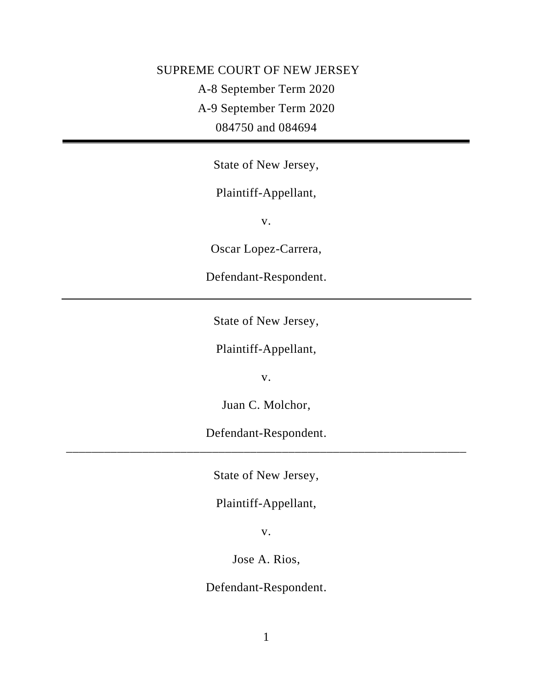# SUPREME COURT OF NEW JERSEY A-8 September Term 2020 A-9 September Term 2020 084750 and 084694

State of New Jersey,

# Plaintiff-Appellant,

v.

Oscar Lopez-Carrera,

Defendant-Respondent.

State of New Jersey,

Plaintiff-Appellant,

v.

Juan C. Molchor,

Defendant-Respondent. \_\_\_\_\_\_\_\_\_\_\_\_\_\_\_\_\_\_\_\_\_\_\_\_\_\_\_\_\_\_\_\_\_\_\_\_\_\_\_\_\_\_\_\_\_\_\_\_\_\_\_\_\_\_\_\_\_\_\_\_\_\_\_

State of New Jersey,

Plaintiff-Appellant,

v.

Jose A. Rios,

Defendant-Respondent.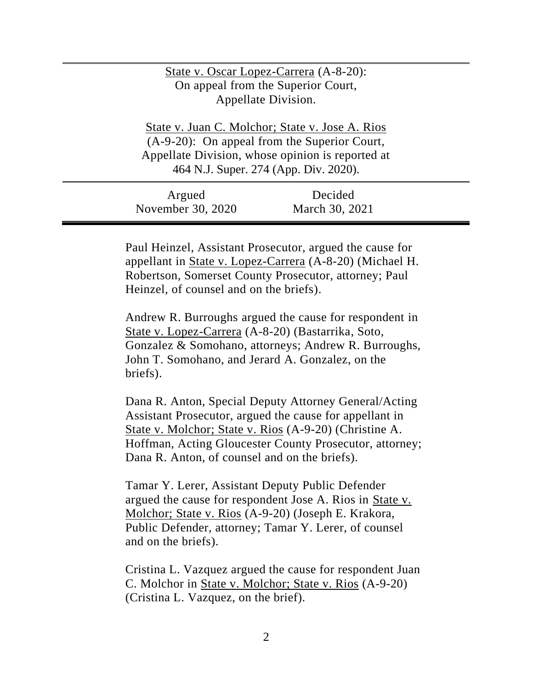# State v. Oscar Lopez-Carrera (A-8-20): On appeal from the Superior Court, Appellate Division.

State v. Juan C. Molchor; State v. Jose A. Rios (A-9-20): On appeal from the Superior Court, Appellate Division, whose opinion is reported at 464 N.J. Super. 274 (App. Div. 2020).

| Argued            | Decided        |  |
|-------------------|----------------|--|
| November 30, 2020 | March 30, 2021 |  |

Paul Heinzel, Assistant Prosecutor, argued the cause for appellant in State v. Lopez-Carrera (A-8-20) (Michael H. Robertson, Somerset County Prosecutor, attorney; Paul Heinzel, of counsel and on the briefs).

Andrew R. Burroughs argued the cause for respondent in State v. Lopez-Carrera (A-8-20) (Bastarrika, Soto, Gonzalez & Somohano, attorneys; Andrew R. Burroughs, John T. Somohano, and Jerard A. Gonzalez, on the briefs).

Dana R. Anton, Special Deputy Attorney General/Acting Assistant Prosecutor, argued the cause for appellant in State v. Molchor; State v. Rios (A-9-20) (Christine A. Hoffman, Acting Gloucester County Prosecutor, attorney; Dana R. Anton, of counsel and on the briefs).

Tamar Y. Lerer, Assistant Deputy Public Defender argued the cause for respondent Jose A. Rios in State v. Molchor; State v. Rios (A-9-20) (Joseph E. Krakora, Public Defender, attorney; Tamar Y. Lerer, of counsel and on the briefs).

Cristina L. Vazquez argued the cause for respondent Juan C. Molchor in State v. Molchor; State v. Rios (A-9-20) (Cristina L. Vazquez, on the brief).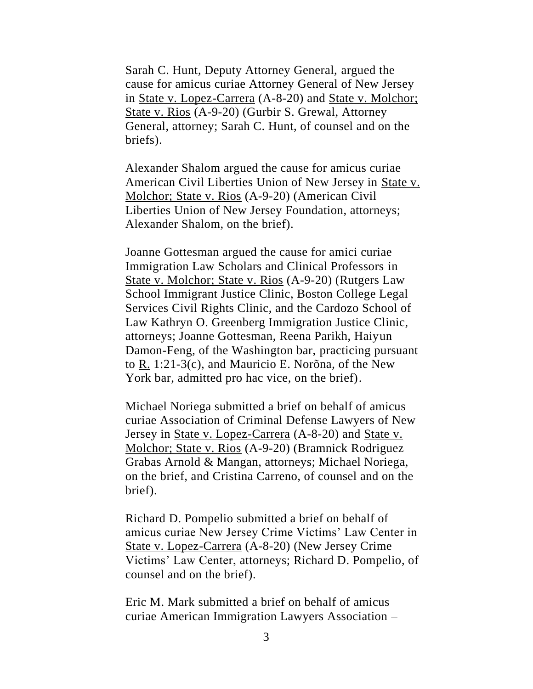Sarah C. Hunt, Deputy Attorney General, argued the cause for amicus curiae Attorney General of New Jersey in State v. Lopez-Carrera (A-8-20) and State v. Molchor; State v. Rios (A-9-20) (Gurbir S. Grewal, Attorney General, attorney; Sarah C. Hunt, of counsel and on the briefs).

Alexander Shalom argued the cause for amicus curiae American Civil Liberties Union of New Jersey in State v. Molchor; State v. Rios (A-9-20) (American Civil Liberties Union of New Jersey Foundation, attorneys; Alexander Shalom, on the brief).

Joanne Gottesman argued the cause for amici curiae Immigration Law Scholars and Clinical Professors in State v. Molchor; State v. Rios (A-9-20) (Rutgers Law School Immigrant Justice Clinic, Boston College Legal Services Civil Rights Clinic, and the Cardozo School of Law Kathryn O. Greenberg Immigration Justice Clinic, attorneys; Joanne Gottesman, Reena Parikh, Haiyun Damon-Feng, of the Washington bar, practicing pursuant to R. 1:21-3(c), and Mauricio E. Norõna, of the New York bar, admitted pro hac vice, on the brief).

Michael Noriega submitted a brief on behalf of amicus curiae Association of Criminal Defense Lawyers of New Jersey in <u>State v. Lopez-Carrera</u> (A-8-20) and <u>State v.</u> Molchor; State v. Rios (A-9-20) (Bramnick Rodriguez Grabas Arnold & Mangan, attorneys; Michael Noriega, on the brief, and Cristina Carreno, of counsel and on the brief).

Richard D. Pompelio submitted a brief on behalf of amicus curiae New Jersey Crime Victims' Law Center in State v. Lopez-Carrera (A-8-20) (New Jersey Crime Victims' Law Center, attorneys; Richard D. Pompelio, of counsel and on the brief).

Eric M. Mark submitted a brief on behalf of amicus curiae American Immigration Lawyers Association –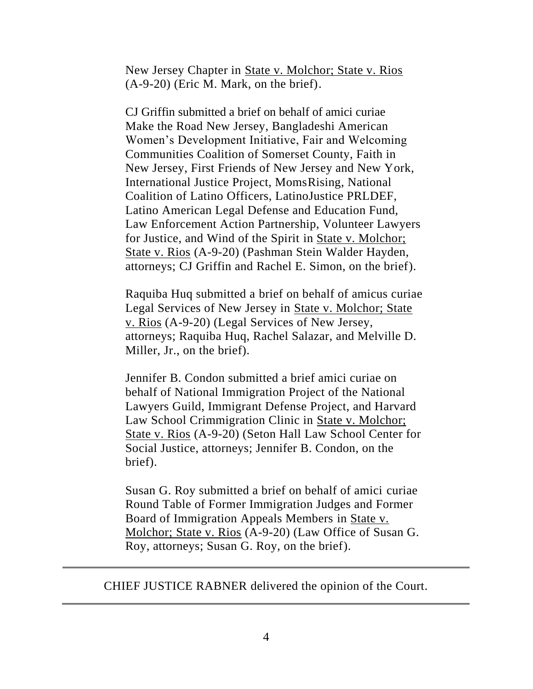New Jersey Chapter in State v. Molchor; State v. Rios (A-9-20) (Eric M. Mark, on the brief).

CJ Griffin submitted a brief on behalf of amici curiae Make the Road New Jersey, Bangladeshi American Women's Development Initiative, Fair and Welcoming Communities Coalition of Somerset County, Faith in New Jersey, First Friends of New Jersey and New York, International Justice Project, MomsRising, National Coalition of Latino Officers, LatinoJustice PRLDEF, Latino American Legal Defense and Education Fund, Law Enforcement Action Partnership, Volunteer Lawyers for Justice, and Wind of the Spirit in State v. Molchor; State v. Rios (A-9-20) (Pashman Stein Walder Hayden, attorneys; CJ Griffin and Rachel E. Simon, on the brief).

Raquiba Huq submitted a brief on behalf of amicus curiae Legal Services of New Jersey in State v. Molchor; State v. Rios (A-9-20) (Legal Services of New Jersey, attorneys; Raquiba Huq, Rachel Salazar, and Melville D. Miller, Jr., on the brief).

Jennifer B. Condon submitted a brief amici curiae on behalf of National Immigration Project of the National Lawyers Guild, Immigrant Defense Project, and Harvard Law School Crimmigration Clinic in State v. Molchor; State v. Rios (A-9-20) (Seton Hall Law School Center for Social Justice, attorneys; Jennifer B. Condon, on the brief).

Susan G. Roy submitted a brief on behalf of amici curiae Round Table of Former Immigration Judges and Former Board of Immigration Appeals Members in State v. Molchor; State v. Rios (A-9-20) (Law Office of Susan G. Roy, attorneys; Susan G. Roy, on the brief).

CHIEF JUSTICE RABNER delivered the opinion of the Court.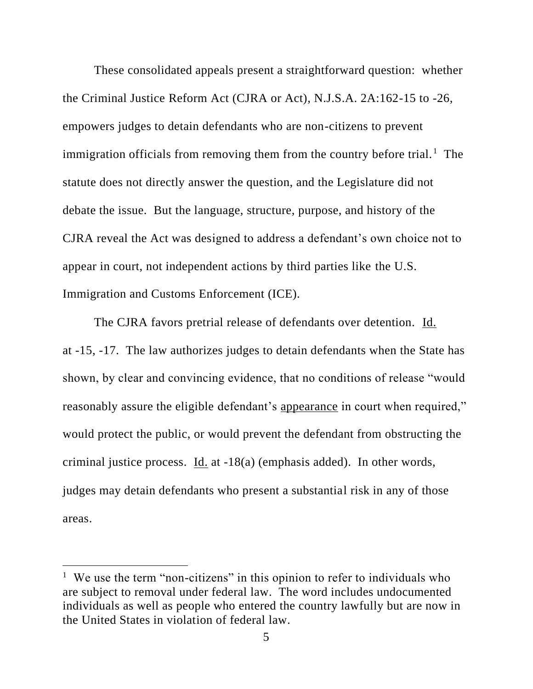These consolidated appeals present a straightforward question: whether the Criminal Justice Reform Act (CJRA or Act), N.J.S.A. 2A:162-15 to -26, empowers judges to detain defendants who are non-citizens to prevent immigration officials from removing them from the country before trial.<sup>1</sup> The statute does not directly answer the question, and the Legislature did not debate the issue. But the language, structure, purpose, and history of the CJRA reveal the Act was designed to address a defendant's own choice not to appear in court, not independent actions by third parties like the U.S. Immigration and Customs Enforcement (ICE).

The CJRA favors pretrial release of defendants over detention. Id. at -15, -17. The law authorizes judges to detain defendants when the State has shown, by clear and convincing evidence, that no conditions of release "would reasonably assure the eligible defendant's appearance in court when required," would protect the public, or would prevent the defendant from obstructing the criminal justice process. Id. at -18(a) (emphasis added). In other words, judges may detain defendants who present a substantial risk in any of those areas.

<sup>&</sup>lt;sup>1</sup> We use the term "non-citizens" in this opinion to refer to individuals who are subject to removal under federal law. The word includes undocumented individuals as well as people who entered the country lawfully but are now in the United States in violation of federal law.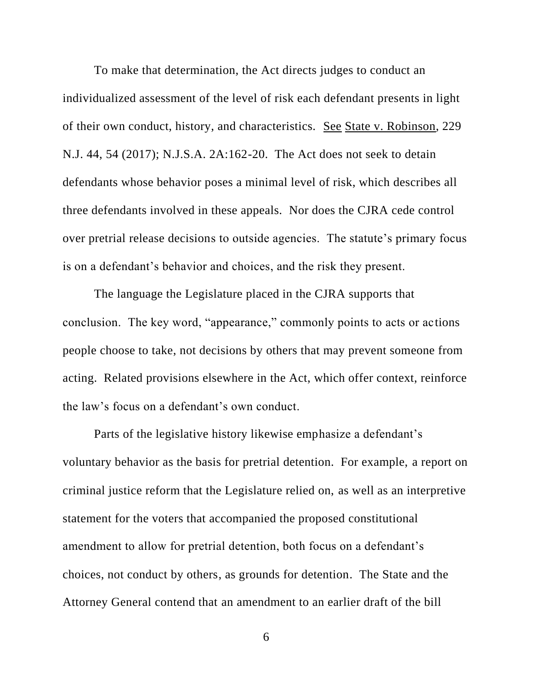To make that determination, the Act directs judges to conduct an individualized assessment of the level of risk each defendant presents in light of their own conduct, history, and characteristics. See State v. Robinson, 229 N.J. 44, 54 (2017); N.J.S.A. 2A:162-20. The Act does not seek to detain defendants whose behavior poses a minimal level of risk, which describes all three defendants involved in these appeals. Nor does the CJRA cede control over pretrial release decisions to outside agencies. The statute's primary focus is on a defendant's behavior and choices, and the risk they present.

The language the Legislature placed in the CJRA supports that conclusion. The key word, "appearance," commonly points to acts or actions people choose to take, not decisions by others that may prevent someone from acting. Related provisions elsewhere in the Act, which offer context, reinforce the law's focus on a defendant's own conduct.

Parts of the legislative history likewise emphasize a defendant's voluntary behavior as the basis for pretrial detention. For example, a report on criminal justice reform that the Legislature relied on, as well as an interpretive statement for the voters that accompanied the proposed constitutional amendment to allow for pretrial detention, both focus on a defendant's choices, not conduct by others, as grounds for detention. The State and the Attorney General contend that an amendment to an earlier draft of the bill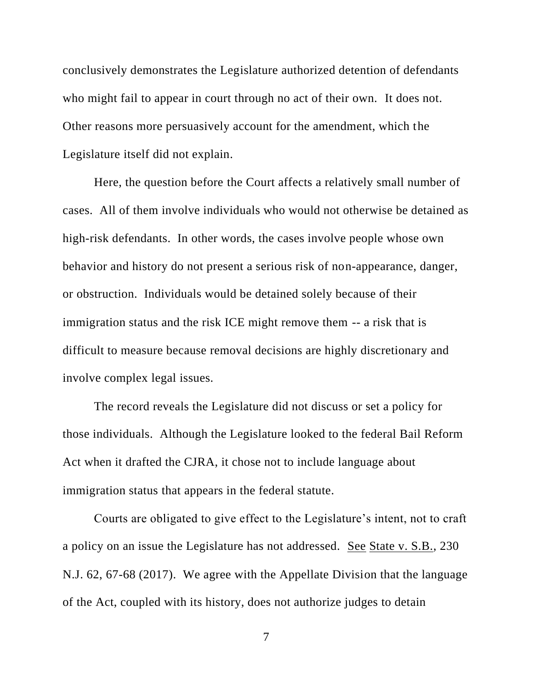conclusively demonstrates the Legislature authorized detention of defendants who might fail to appear in court through no act of their own. It does not. Other reasons more persuasively account for the amendment, which the Legislature itself did not explain.

Here, the question before the Court affects a relatively small number of cases. All of them involve individuals who would not otherwise be detained as high-risk defendants. In other words, the cases involve people whose own behavior and history do not present a serious risk of non-appearance, danger, or obstruction. Individuals would be detained solely because of their immigration status and the risk ICE might remove them -- a risk that is difficult to measure because removal decisions are highly discretionary and involve complex legal issues.

The record reveals the Legislature did not discuss or set a policy for those individuals. Although the Legislature looked to the federal Bail Reform Act when it drafted the CJRA, it chose not to include language about immigration status that appears in the federal statute.

Courts are obligated to give effect to the Legislature's intent, not to craft a policy on an issue the Legislature has not addressed. See State v. S.B., 230 N.J. 62, 67-68 (2017). We agree with the Appellate Division that the language of the Act, coupled with its history, does not authorize judges to detain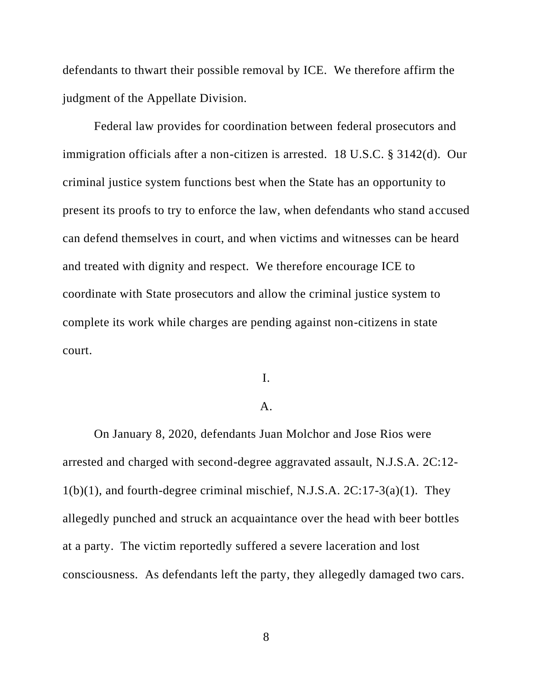defendants to thwart their possible removal by ICE. We therefore affirm the judgment of the Appellate Division.

Federal law provides for coordination between federal prosecutors and immigration officials after a non-citizen is arrested. 18 U.S.C. § 3142(d). Our criminal justice system functions best when the State has an opportunity to present its proofs to try to enforce the law, when defendants who stand accused can defend themselves in court, and when victims and witnesses can be heard and treated with dignity and respect. We therefore encourage ICE to coordinate with State prosecutors and allow the criminal justice system to complete its work while charges are pending against non-citizens in state court.

#### I.

#### A.

On January 8, 2020, defendants Juan Molchor and Jose Rios were arrested and charged with second-degree aggravated assault, N.J.S.A. 2C:12-  $1(b)(1)$ , and fourth-degree criminal mischief, N.J.S.A.  $2C:17-3(a)(1)$ . They allegedly punched and struck an acquaintance over the head with beer bottles at a party. The victim reportedly suffered a severe laceration and lost consciousness. As defendants left the party, they allegedly damaged two cars.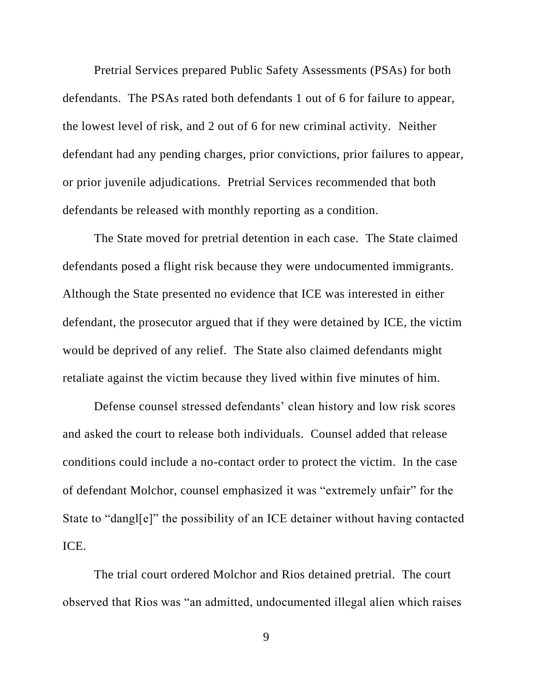Pretrial Services prepared Public Safety Assessments (PSAs) for both defendants. The PSAs rated both defendants 1 out of 6 for failure to appear, the lowest level of risk, and 2 out of 6 for new criminal activity. Neither defendant had any pending charges, prior convictions, prior failures to appear, or prior juvenile adjudications. Pretrial Services recommended that both defendants be released with monthly reporting as a condition.

The State moved for pretrial detention in each case. The State claimed defendants posed a flight risk because they were undocumented immigrants. Although the State presented no evidence that ICE was interested in either defendant, the prosecutor argued that if they were detained by ICE, the victim would be deprived of any relief. The State also claimed defendants might retaliate against the victim because they lived within five minutes of him.

Defense counsel stressed defendants' clean history and low risk scores and asked the court to release both individuals. Counsel added that release conditions could include a no-contact order to protect the victim. In the case of defendant Molchor, counsel emphasized it was "extremely unfair" for the State to "dangl[e]" the possibility of an ICE detainer without having contacted ICE.

The trial court ordered Molchor and Rios detained pretrial. The court observed that Rios was "an admitted, undocumented illegal alien which raises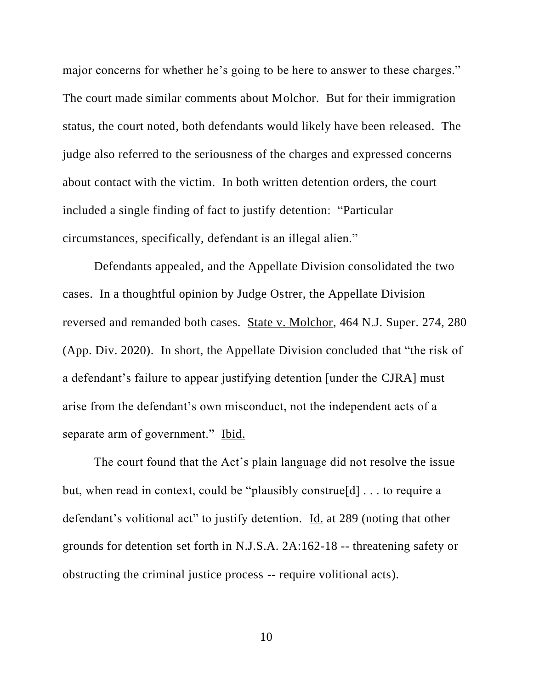major concerns for whether he's going to be here to answer to these charges." The court made similar comments about Molchor. But for their immigration status, the court noted, both defendants would likely have been released. The judge also referred to the seriousness of the charges and expressed concerns about contact with the victim. In both written detention orders, the court included a single finding of fact to justify detention: "Particular circumstances, specifically, defendant is an illegal alien."

Defendants appealed, and the Appellate Division consolidated the two cases. In a thoughtful opinion by Judge Ostrer, the Appellate Division reversed and remanded both cases. State v. Molchor, 464 N.J. Super. 274, 280 (App. Div. 2020). In short, the Appellate Division concluded that "the risk of a defendant's failure to appear justifying detention [under the CJRA] must arise from the defendant's own misconduct, not the independent acts of a separate arm of government." Ibid.

The court found that the Act's plain language did not resolve the issue but, when read in context, could be "plausibly construe[d] . . . to require a defendant's volitional act" to justify detention. Id. at 289 (noting that other grounds for detention set forth in N.J.S.A. 2A:162-18 -- threatening safety or obstructing the criminal justice process -- require volitional acts).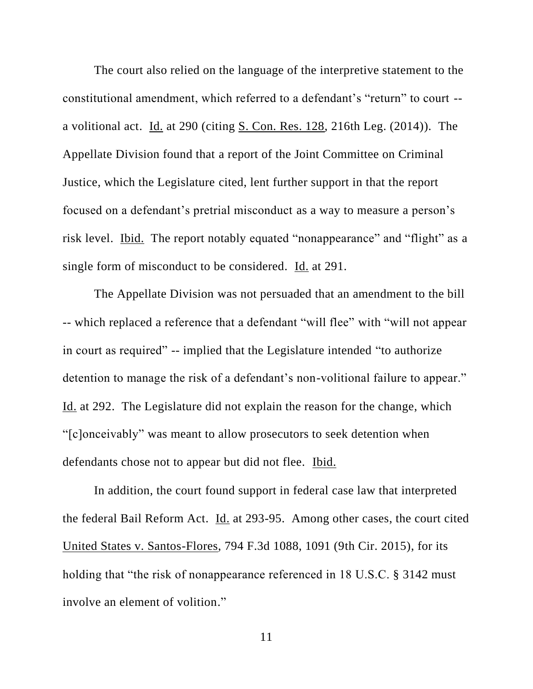The court also relied on the language of the interpretive statement to the constitutional amendment, which referred to a defendant's "return" to court - a volitional act. Id. at 290 (citing S. Con. Res. 128, 216th Leg. (2014)). The Appellate Division found that a report of the Joint Committee on Criminal Justice, which the Legislature cited, lent further support in that the report focused on a defendant's pretrial misconduct as a way to measure a person's risk level. Ibid. The report notably equated "nonappearance" and "flight" as a single form of misconduct to be considered. Id. at 291.

The Appellate Division was not persuaded that an amendment to the bill -- which replaced a reference that a defendant "will flee" with "will not appear in court as required" -- implied that the Legislature intended "to authorize detention to manage the risk of a defendant's non-volitional failure to appear." Id. at 292. The Legislature did not explain the reason for the change, which "[c]onceivably" was meant to allow prosecutors to seek detention when defendants chose not to appear but did not flee. Ibid.

In addition, the court found support in federal case law that interpreted the federal Bail Reform Act. Id. at 293-95. Among other cases, the court cited United States v. Santos-Flores, 794 F.3d 1088, 1091 (9th Cir. 2015), for its holding that "the risk of nonappearance referenced in 18 U.S.C. § 3142 must involve an element of volition."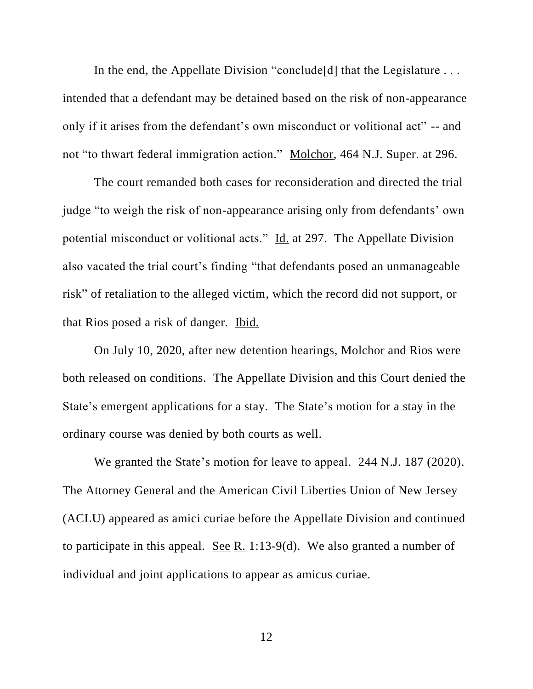In the end, the Appellate Division "conclude [d] that the Legislature ... intended that a defendant may be detained based on the risk of non-appearance only if it arises from the defendant's own misconduct or volitional act" -- and not "to thwart federal immigration action." Molchor, 464 N.J. Super. at 296.

The court remanded both cases for reconsideration and directed the trial judge "to weigh the risk of non-appearance arising only from defendants' own potential misconduct or volitional acts." Id. at 297. The Appellate Division also vacated the trial court's finding "that defendants posed an unmanageable risk" of retaliation to the alleged victim, which the record did not support, or that Rios posed a risk of danger. Ibid.

On July 10, 2020, after new detention hearings, Molchor and Rios were both released on conditions. The Appellate Division and this Court denied the State's emergent applications for a stay. The State's motion for a stay in the ordinary course was denied by both courts as well.

We granted the State's motion for leave to appeal. 244 N.J. 187 (2020). The Attorney General and the American Civil Liberties Union of New Jersey (ACLU) appeared as amici curiae before the Appellate Division and continued to participate in this appeal. See R. 1:13-9(d). We also granted a number of individual and joint applications to appear as amicus curiae.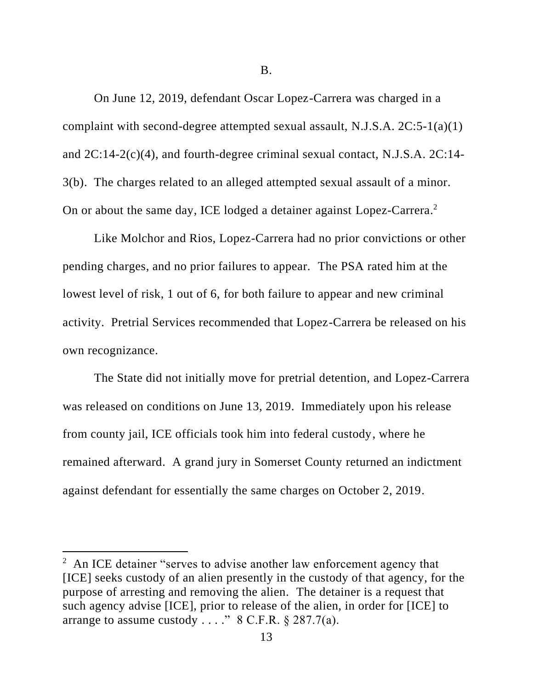B.

On June 12, 2019, defendant Oscar Lopez-Carrera was charged in a complaint with second-degree attempted sexual assault, N.J.S.A. 2C:5-1(a)(1) and 2C:14-2(c)(4), and fourth-degree criminal sexual contact, N.J.S.A. 2C:14- 3(b). The charges related to an alleged attempted sexual assault of a minor. On or about the same day, ICE lodged a detainer against Lopez-Carrera.<sup>2</sup>

Like Molchor and Rios, Lopez-Carrera had no prior convictions or other pending charges, and no prior failures to appear. The PSA rated him at the lowest level of risk, 1 out of 6, for both failure to appear and new criminal activity. Pretrial Services recommended that Lopez-Carrera be released on his own recognizance.

The State did not initially move for pretrial detention, and Lopez-Carrera was released on conditions on June 13, 2019. Immediately upon his release from county jail, ICE officials took him into federal custody, where he remained afterward. A grand jury in Somerset County returned an indictment against defendant for essentially the same charges on October 2, 2019.

<sup>&</sup>lt;sup>2</sup> An ICE detainer "serves to advise another law enforcement agency that [ICE] seeks custody of an alien presently in the custody of that agency, for the purpose of arresting and removing the alien. The detainer is a request that such agency advise [ICE], prior to release of the alien, in order for [ICE] to arrange to assume custody  $\ldots$ ." 8 C.F.R. § 287.7(a).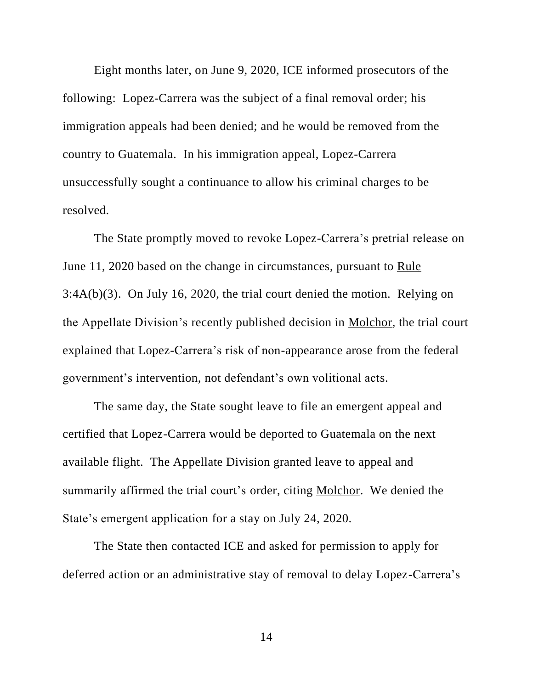Eight months later, on June 9, 2020, ICE informed prosecutors of the following: Lopez-Carrera was the subject of a final removal order; his immigration appeals had been denied; and he would be removed from the country to Guatemala. In his immigration appeal, Lopez-Carrera unsuccessfully sought a continuance to allow his criminal charges to be resolved.

The State promptly moved to revoke Lopez-Carrera's pretrial release on June 11, 2020 based on the change in circumstances, pursuant to Rule 3:4A(b)(3). On July 16, 2020, the trial court denied the motion. Relying on the Appellate Division's recently published decision in Molchor, the trial court explained that Lopez-Carrera's risk of non-appearance arose from the federal government's intervention, not defendant's own volitional acts.

The same day, the State sought leave to file an emergent appeal and certified that Lopez-Carrera would be deported to Guatemala on the next available flight. The Appellate Division granted leave to appeal and summarily affirmed the trial court's order, citing Molchor. We denied the State's emergent application for a stay on July 24, 2020.

The State then contacted ICE and asked for permission to apply for deferred action or an administrative stay of removal to delay Lopez-Carrera's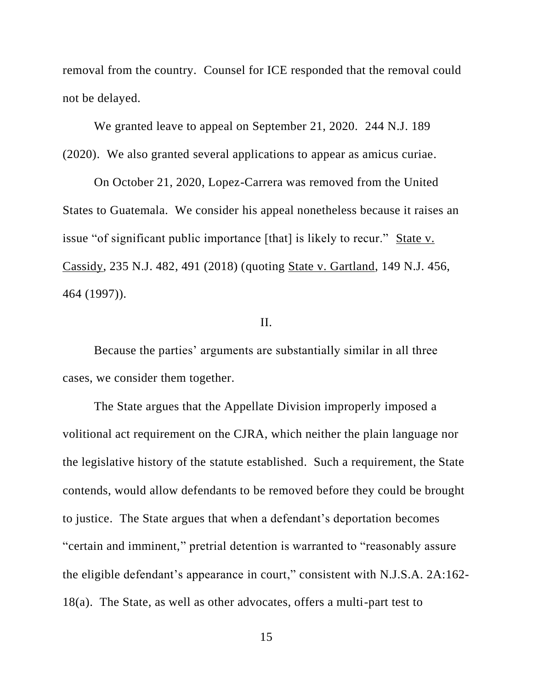removal from the country. Counsel for ICE responded that the removal could not be delayed.

We granted leave to appeal on September 21, 2020. 244 N.J. 189 (2020). We also granted several applications to appear as amicus curiae.

On October 21, 2020, Lopez-Carrera was removed from the United States to Guatemala. We consider his appeal nonetheless because it raises an issue "of significant public importance [that] is likely to recur." State v. Cassidy, 235 N.J. 482, 491 (2018) (quoting State v. Gartland, 149 N.J. 456, 464 (1997)).

# II.

Because the parties' arguments are substantially similar in all three cases, we consider them together.

The State argues that the Appellate Division improperly imposed a volitional act requirement on the CJRA, which neither the plain language nor the legislative history of the statute established. Such a requirement, the State contends, would allow defendants to be removed before they could be brought to justice. The State argues that when a defendant's deportation becomes "certain and imminent," pretrial detention is warranted to "reasonably assure the eligible defendant's appearance in court," consistent with N.J.S.A. 2A:162- 18(a). The State, as well as other advocates, offers a multi-part test to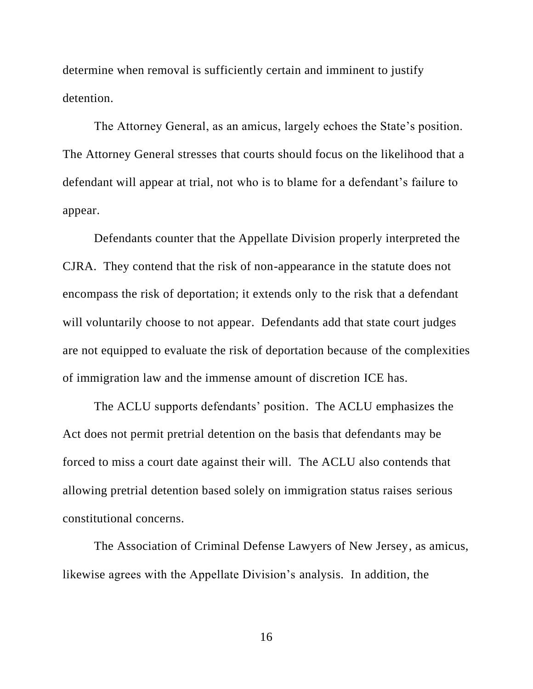determine when removal is sufficiently certain and imminent to justify detention.

The Attorney General, as an amicus, largely echoes the State's position. The Attorney General stresses that courts should focus on the likelihood that a defendant will appear at trial, not who is to blame for a defendant's failure to appear.

Defendants counter that the Appellate Division properly interpreted the CJRA. They contend that the risk of non-appearance in the statute does not encompass the risk of deportation; it extends only to the risk that a defendant will voluntarily choose to not appear. Defendants add that state court judges are not equipped to evaluate the risk of deportation because of the complexities of immigration law and the immense amount of discretion ICE has.

The ACLU supports defendants' position. The ACLU emphasizes the Act does not permit pretrial detention on the basis that defendants may be forced to miss a court date against their will. The ACLU also contends that allowing pretrial detention based solely on immigration status raises serious constitutional concerns.

The Association of Criminal Defense Lawyers of New Jersey, as amicus, likewise agrees with the Appellate Division's analysis. In addition, the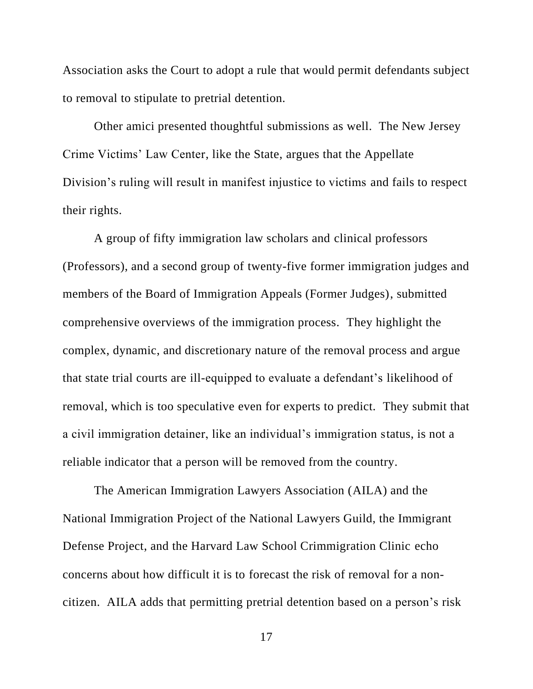Association asks the Court to adopt a rule that would permit defendants subject to removal to stipulate to pretrial detention.

Other amici presented thoughtful submissions as well. The New Jersey Crime Victims' Law Center, like the State, argues that the Appellate Division's ruling will result in manifest injustice to victims and fails to respect their rights.

A group of fifty immigration law scholars and clinical professors (Professors), and a second group of twenty-five former immigration judges and members of the Board of Immigration Appeals (Former Judges), submitted comprehensive overviews of the immigration process. They highlight the complex, dynamic, and discretionary nature of the removal process and argue that state trial courts are ill-equipped to evaluate a defendant's likelihood of removal, which is too speculative even for experts to predict. They submit that a civil immigration detainer, like an individual's immigration status, is not a reliable indicator that a person will be removed from the country.

The American Immigration Lawyers Association (AILA) and the National Immigration Project of the National Lawyers Guild, the Immigrant Defense Project, and the Harvard Law School Crimmigration Clinic echo concerns about how difficult it is to forecast the risk of removal for a noncitizen. AILA adds that permitting pretrial detention based on a person's risk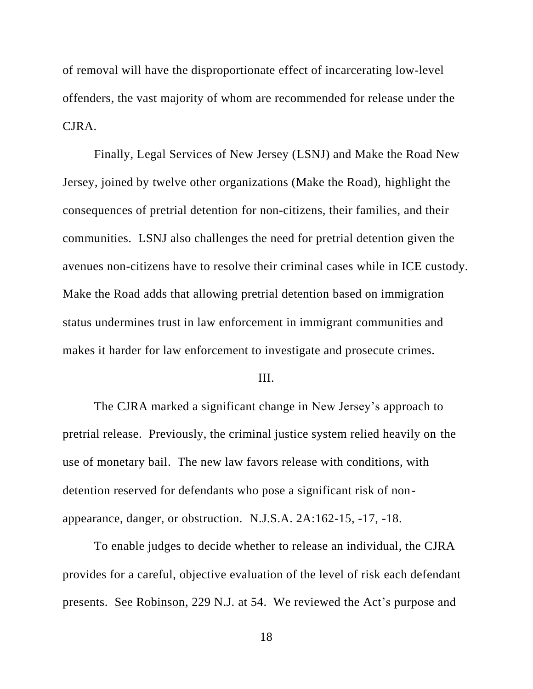of removal will have the disproportionate effect of incarcerating low-level offenders, the vast majority of whom are recommended for release under the CJRA.

Finally, Legal Services of New Jersey (LSNJ) and Make the Road New Jersey, joined by twelve other organizations (Make the Road), highlight the consequences of pretrial detention for non-citizens, their families, and their communities. LSNJ also challenges the need for pretrial detention given the avenues non-citizens have to resolve their criminal cases while in ICE custody. Make the Road adds that allowing pretrial detention based on immigration status undermines trust in law enforcement in immigrant communities and makes it harder for law enforcement to investigate and prosecute crimes.

#### III.

The CJRA marked a significant change in New Jersey's approach to pretrial release. Previously, the criminal justice system relied heavily on the use of monetary bail. The new law favors release with conditions, with detention reserved for defendants who pose a significant risk of nonappearance, danger, or obstruction. N.J.S.A. 2A:162-15, -17, -18.

To enable judges to decide whether to release an individual, the CJRA provides for a careful, objective evaluation of the level of risk each defendant presents. See Robinson, 229 N.J. at 54. We reviewed the Act's purpose and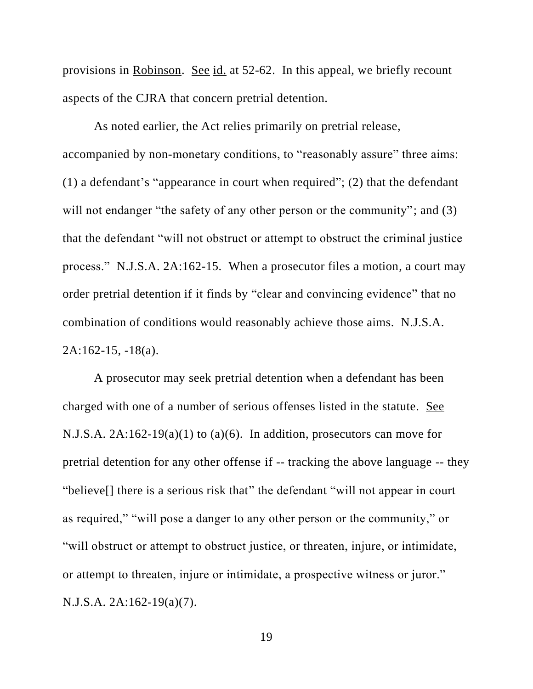provisions in Robinson. See id. at 52-62. In this appeal, we briefly recount aspects of the CJRA that concern pretrial detention.

As noted earlier, the Act relies primarily on pretrial release, accompanied by non-monetary conditions, to "reasonably assure" three aims: (1) a defendant's "appearance in court when required"; (2) that the defendant will not endanger "the safety of any other person or the community"; and (3) that the defendant "will not obstruct or attempt to obstruct the criminal justice process." N.J.S.A. 2A:162-15. When a prosecutor files a motion, a court may order pretrial detention if it finds by "clear and convincing evidence" that no combination of conditions would reasonably achieve those aims. N.J.S.A.  $2A:162-15, -18(a)$ .

A prosecutor may seek pretrial detention when a defendant has been charged with one of a number of serious offenses listed in the statute. See N.J.S.A.  $2A:162-19(a)(1)$  to  $(a)(6)$ . In addition, prosecutors can move for pretrial detention for any other offense if -- tracking the above language -- they "believe[] there is a serious risk that" the defendant "will not appear in court as required," "will pose a danger to any other person or the community," or "will obstruct or attempt to obstruct justice, or threaten, injure, or intimidate, or attempt to threaten, injure or intimidate, a prospective witness or juror." N.J.S.A. 2A:162-19(a)(7).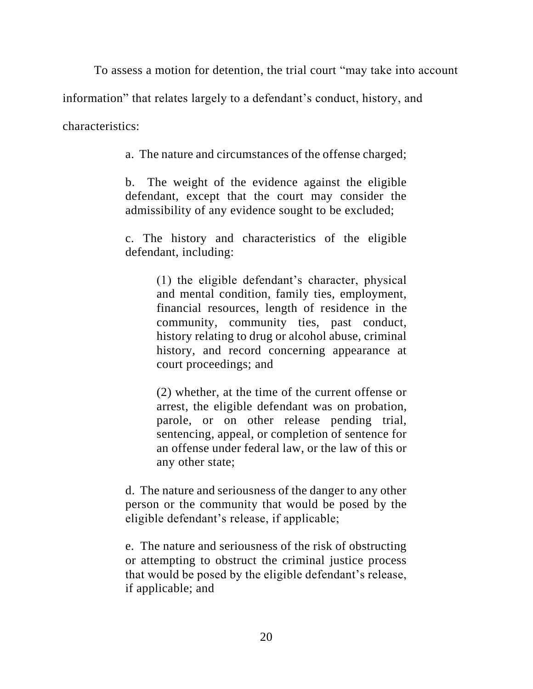To assess a motion for detention, the trial court "may take into account

information" that relates largely to a defendant's conduct, history, and

characteristics:

a. The nature and circumstances of the offense charged;

b. The weight of the evidence against the eligible defendant, except that the court may consider the admissibility of any evidence sought to be excluded;

c. The history and characteristics of the eligible defendant, including:

> (1) the eligible defendant's character, physical and mental condition, family ties, employment, financial resources, length of residence in the community, community ties, past conduct, history relating to drug or alcohol abuse, criminal history, and record concerning appearance at court proceedings; and

> (2) whether, at the time of the current offense or arrest, the eligible defendant was on probation, parole, or on other release pending trial, sentencing, appeal, or completion of sentence for an offense under federal law, or the law of this or any other state;

d. The nature and seriousness of the danger to any other person or the community that would be posed by the eligible defendant's release, if applicable;

e. The nature and seriousness of the risk of obstructing or attempting to obstruct the criminal justice process that would be posed by the eligible defendant's release, if applicable; and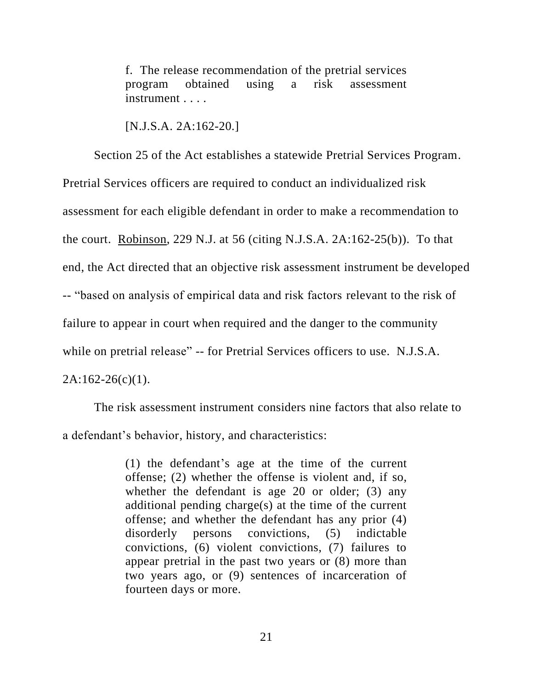f. The release recommendation of the pretrial services program obtained using a risk assessment instrument . . . .

[N.J.S.A. 2A:162-20.]

Section 25 of the Act establishes a statewide Pretrial Services Program. Pretrial Services officers are required to conduct an individualized risk assessment for each eligible defendant in order to make a recommendation to the court. Robinson, 229 N.J. at 56 (citing N.J.S.A. 2A:162-25(b)). To that end, the Act directed that an objective risk assessment instrument be developed -- "based on analysis of empirical data and risk factors relevant to the risk of failure to appear in court when required and the danger to the community while on pretrial release" -- for Pretrial Services officers to use. N.J.S.A.  $2A:162-26(c)(1)$ .

The risk assessment instrument considers nine factors that also relate to a defendant's behavior, history, and characteristics:

> (1) the defendant's age at the time of the current offense; (2) whether the offense is violent and, if so, whether the defendant is age 20 or older; (3) any additional pending charge(s) at the time of the current offense; and whether the defendant has any prior (4) disorderly persons convictions, (5) indictable convictions, (6) violent convictions, (7) failures to appear pretrial in the past two years or (8) more than two years ago, or (9) sentences of incarceration of fourteen days or more.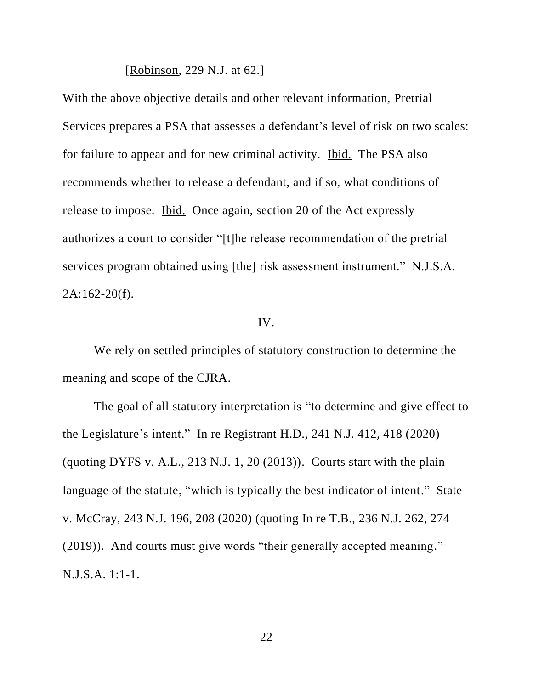[Robinson, 229 N.J. at 62.]

With the above objective details and other relevant information, Pretrial Services prepares a PSA that assesses a defendant's level of risk on two scales: for failure to appear and for new criminal activity. Ibid. The PSA also recommends whether to release a defendant, and if so, what conditions of release to impose. Ibid. Once again, section 20 of the Act expressly authorizes a court to consider "[t]he release recommendation of the pretrial services program obtained using [the] risk assessment instrument." N.J.S.A.  $2A:162-20(f)$ .

#### IV.

We rely on settled principles of statutory construction to determine the meaning and scope of the CJRA.

The goal of all statutory interpretation is "to determine and give effect to the Legislature's intent." In re Registrant H.D., 241 N.J. 412, 418 (2020) (quoting  $DYFS$  v. A.L., 213 N.J. 1, 20 (2013)). Courts start with the plain language of the statute, "which is typically the best indicator of intent." State v. McCray, 243 N.J. 196, 208 (2020) (quoting In re T.B., 236 N.J. 262, 274 (2019)). And courts must give words "their generally accepted meaning." N.J.S.A. 1:1-1.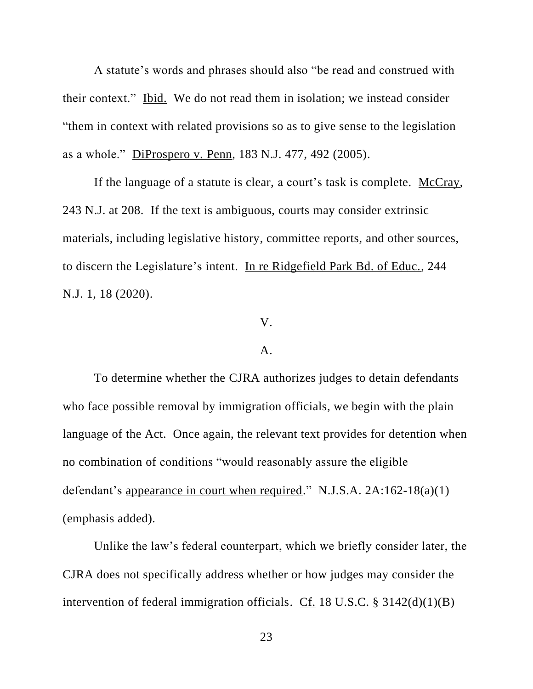A statute's words and phrases should also "be read and construed with their context." Ibid. We do not read them in isolation; we instead consider "them in context with related provisions so as to give sense to the legislation as a whole." DiProspero v. Penn, 183 N.J. 477, 492 (2005).

If the language of a statute is clear, a court's task is complete. McCray, 243 N.J. at 208. If the text is ambiguous, courts may consider extrinsic materials, including legislative history, committee reports, and other sources, to discern the Legislature's intent. In re Ridgefield Park Bd. of Educ., 244 N.J. 1, 18 (2020).

#### V.

#### A.

To determine whether the CJRA authorizes judges to detain defendants who face possible removal by immigration officials, we begin with the plain language of the Act. Once again, the relevant text provides for detention when no combination of conditions "would reasonably assure the eligible defendant's appearance in court when required." N.J.S.A. 2A:162-18(a)(1) (emphasis added).

Unlike the law's federal counterpart, which we briefly consider later, the CJRA does not specifically address whether or how judges may consider the intervention of federal immigration officials. Cf. 18 U.S.C. § 3142(d)(1)(B)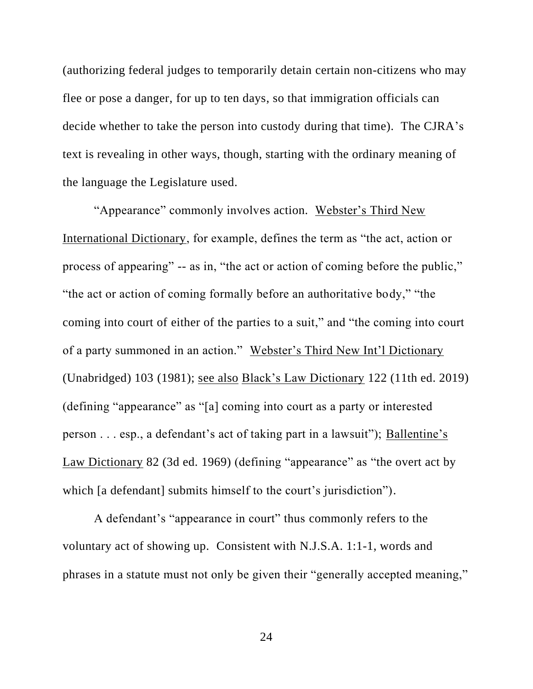(authorizing federal judges to temporarily detain certain non-citizens who may flee or pose a danger, for up to ten days, so that immigration officials can decide whether to take the person into custody during that time). The CJRA's text is revealing in other ways, though, starting with the ordinary meaning of the language the Legislature used.

"Appearance" commonly involves action. Webster's Third New International Dictionary, for example, defines the term as "the act, action or process of appearing" -- as in, "the act or action of coming before the public," "the act or action of coming formally before an authoritative body," "the coming into court of either of the parties to a suit," and "the coming into court of a party summoned in an action." Webster's Third New Int'l Dictionary (Unabridged) 103 (1981); see also Black's Law Dictionary 122 (11th ed. 2019) (defining "appearance" as "[a] coming into court as a party or interested person . . . esp., a defendant's act of taking part in a lawsuit"); Ballentine's Law Dictionary 82 (3d ed. 1969) (defining "appearance" as "the overt act by which [a defendant] submits himself to the court's jurisdiction").

A defendant's "appearance in court" thus commonly refers to the voluntary act of showing up. Consistent with N.J.S.A. 1:1-1, words and phrases in a statute must not only be given their "generally accepted meaning,"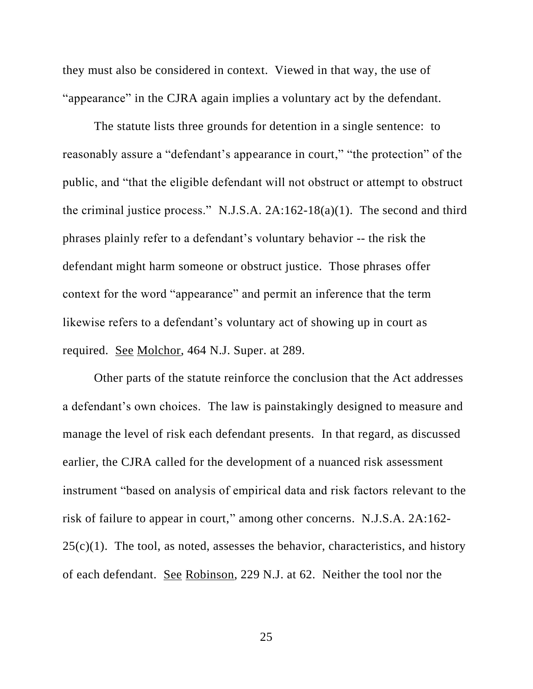they must also be considered in context. Viewed in that way, the use of "appearance" in the CJRA again implies a voluntary act by the defendant.

The statute lists three grounds for detention in a single sentence: to reasonably assure a "defendant's appearance in court," "the protection" of the public, and "that the eligible defendant will not obstruct or attempt to obstruct the criminal justice process." N.J.S.A. 2A:162-18(a)(1). The second and third phrases plainly refer to a defendant's voluntary behavior -- the risk the defendant might harm someone or obstruct justice. Those phrases offer context for the word "appearance" and permit an inference that the term likewise refers to a defendant's voluntary act of showing up in court as required. See Molchor, 464 N.J. Super. at 289.

Other parts of the statute reinforce the conclusion that the Act addresses a defendant's own choices. The law is painstakingly designed to measure and manage the level of risk each defendant presents. In that regard, as discussed earlier, the CJRA called for the development of a nuanced risk assessment instrument "based on analysis of empirical data and risk factors relevant to the risk of failure to appear in court," among other concerns. N.J.S.A. 2A:162-  $25(c)(1)$ . The tool, as noted, assesses the behavior, characteristics, and history of each defendant. See Robinson, 229 N.J. at 62. Neither the tool nor the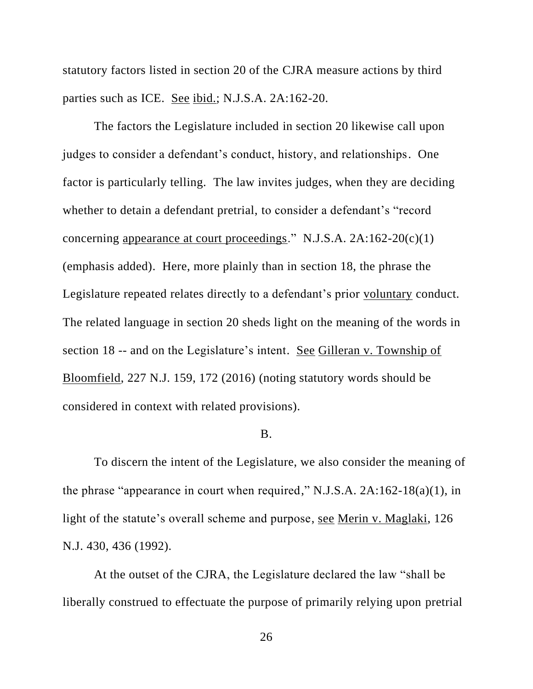statutory factors listed in section 20 of the CJRA measure actions by third parties such as ICE. See ibid.; N.J.S.A. 2A:162-20.

The factors the Legislature included in section 20 likewise call upon judges to consider a defendant's conduct, history, and relationships. One factor is particularly telling. The law invites judges, when they are deciding whether to detain a defendant pretrial, to consider a defendant's "record concerning appearance at court proceedings." N.J.S.A. 2A:162-20(c)(1) (emphasis added). Here, more plainly than in section 18, the phrase the Legislature repeated relates directly to a defendant's prior voluntary conduct. The related language in section 20 sheds light on the meaning of the words in section 18 -- and on the Legislature's intent. See Gilleran v. Township of Bloomfield, 227 N.J. 159, 172 (2016) (noting statutory words should be considered in context with related provisions).

#### B.

To discern the intent of the Legislature, we also consider the meaning of the phrase "appearance in court when required," N.J.S.A. 2A:162-18(a)(1), in light of the statute's overall scheme and purpose, see Merin v. Maglaki, 126 N.J. 430, 436 (1992).

At the outset of the CJRA, the Legislature declared the law "shall be liberally construed to effectuate the purpose of primarily relying upon pretrial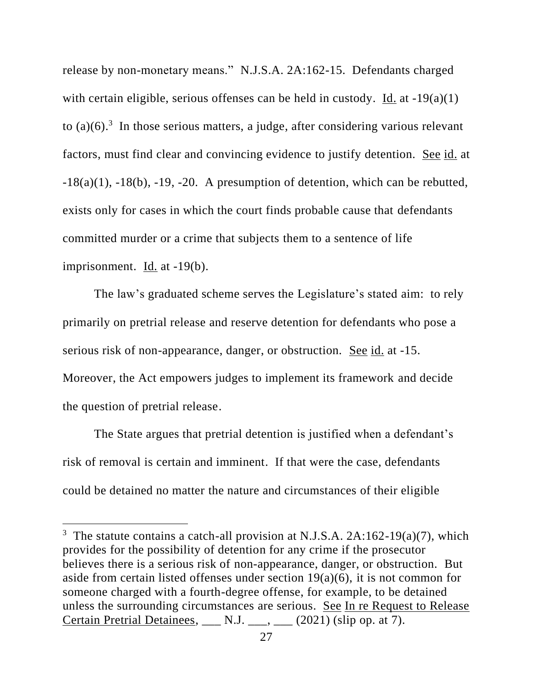release by non-monetary means." N.J.S.A. 2A:162-15. Defendants charged with certain eligible, serious offenses can be held in custody. Id. at  $-19(a)(1)$ to  $(a)(6)$ .<sup>3</sup> In those serious matters, a judge, after considering various relevant factors, must find clear and convincing evidence to justify detention. See id. at  $-18(a)(1)$ ,  $-18(b)$ ,  $-19$ ,  $-20$ . A presumption of detention, which can be rebutted, exists only for cases in which the court finds probable cause that defendants committed murder or a crime that subjects them to a sentence of life imprisonment. Id. at -19(b).

The law's graduated scheme serves the Legislature's stated aim: to rely primarily on pretrial release and reserve detention for defendants who pose a serious risk of non-appearance, danger, or obstruction. See id. at -15. Moreover, the Act empowers judges to implement its framework and decide the question of pretrial release.

The State argues that pretrial detention is justified when a defendant's risk of removal is certain and imminent. If that were the case, defendants could be detained no matter the nature and circumstances of their eligible

<sup>&</sup>lt;sup>3</sup> The statute contains a catch-all provision at N.J.S.A. 2A:162-19(a)(7), which provides for the possibility of detention for any crime if the prosecutor believes there is a serious risk of non-appearance, danger, or obstruction. But aside from certain listed offenses under section 19(a)(6), it is not common for someone charged with a fourth-degree offense, for example, to be detained unless the surrounding circumstances are serious. See In re Request to Release Certain Pretrial Detainees,  $\Box$  N.J.  $\Box$ ,  $\Box$  (2021) (slip op. at 7).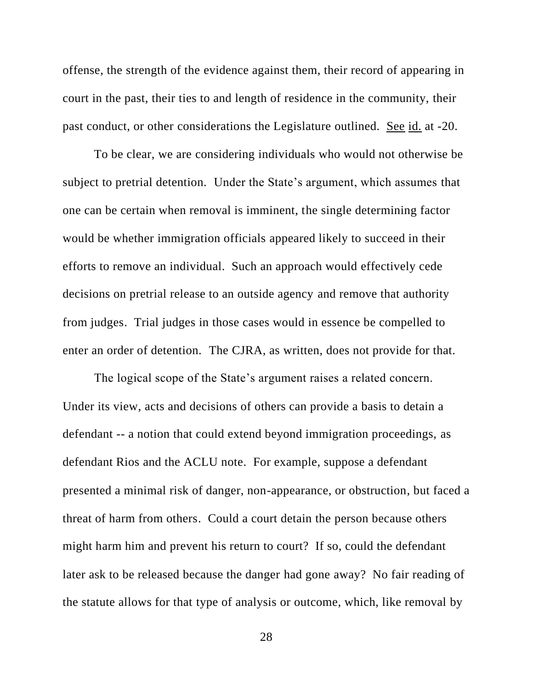offense, the strength of the evidence against them, their record of appearing in court in the past, their ties to and length of residence in the community, their past conduct, or other considerations the Legislature outlined. See id. at -20.

To be clear, we are considering individuals who would not otherwise be subject to pretrial detention. Under the State's argument, which assumes that one can be certain when removal is imminent, the single determining factor would be whether immigration officials appeared likely to succeed in their efforts to remove an individual. Such an approach would effectively cede decisions on pretrial release to an outside agency and remove that authority from judges. Trial judges in those cases would in essence be compelled to enter an order of detention. The CJRA, as written, does not provide for that.

The logical scope of the State's argument raises a related concern. Under its view, acts and decisions of others can provide a basis to detain a defendant -- a notion that could extend beyond immigration proceedings, as defendant Rios and the ACLU note. For example, suppose a defendant presented a minimal risk of danger, non-appearance, or obstruction, but faced a threat of harm from others. Could a court detain the person because others might harm him and prevent his return to court? If so, could the defendant later ask to be released because the danger had gone away? No fair reading of the statute allows for that type of analysis or outcome, which, like removal by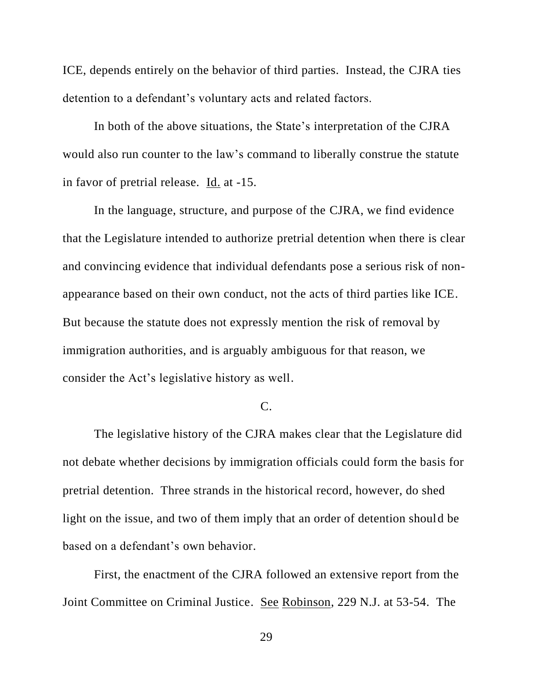ICE, depends entirely on the behavior of third parties. Instead, the CJRA ties detention to a defendant's voluntary acts and related factors.

In both of the above situations, the State's interpretation of the CJRA would also run counter to the law's command to liberally construe the statute in favor of pretrial release. Id. at -15.

In the language, structure, and purpose of the CJRA, we find evidence that the Legislature intended to authorize pretrial detention when there is clear and convincing evidence that individual defendants pose a serious risk of nonappearance based on their own conduct, not the acts of third parties like ICE. But because the statute does not expressly mention the risk of removal by immigration authorities, and is arguably ambiguous for that reason, we consider the Act's legislative history as well.

# C.

The legislative history of the CJRA makes clear that the Legislature did not debate whether decisions by immigration officials could form the basis for pretrial detention. Three strands in the historical record, however, do shed light on the issue, and two of them imply that an order of detention should be based on a defendant's own behavior.

First, the enactment of the CJRA followed an extensive report from the Joint Committee on Criminal Justice. See Robinson, 229 N.J. at 53-54. The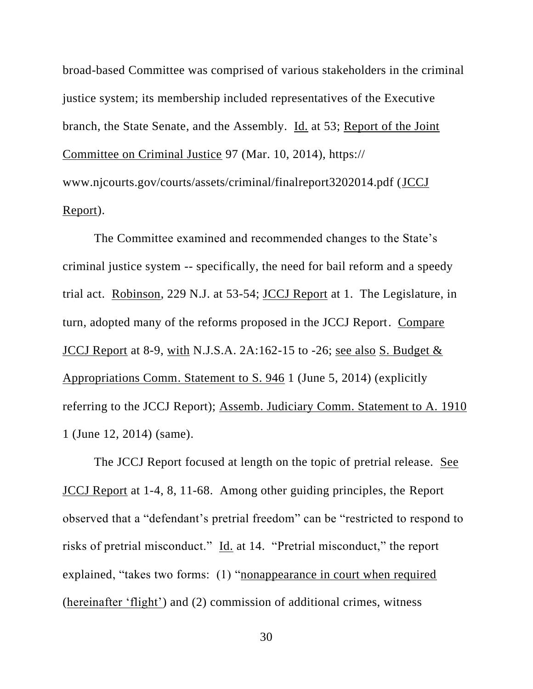broad-based Committee was comprised of various stakeholders in the criminal justice system; its membership included representatives of the Executive branch, the State Senate, and the Assembly. Id. at 53; Report of the Joint Committee on Criminal Justice 97 (Mar. 10, 2014), https:// www.njcourts.gov/courts/assets/criminal/finalreport3202014.pdf (JCCJ Report).

The Committee examined and recommended changes to the State's criminal justice system -- specifically, the need for bail reform and a speedy trial act. Robinson, 229 N.J. at 53-54; JCCJ Report at 1. The Legislature, in turn, adopted many of the reforms proposed in the JCCJ Report. Compare JCCJ Report at 8-9, with N.J.S.A.  $2A:162-15$  to  $-26$ ; see also S. Budget  $\&$ Appropriations Comm. Statement to S. 946 1 (June 5, 2014) (explicitly referring to the JCCJ Report); Assemb. Judiciary Comm. Statement to A. 1910 1 (June 12, 2014) (same).

The JCCJ Report focused at length on the topic of pretrial release. See JCCJ Report at 1-4, 8, 11-68. Among other guiding principles, the Report observed that a "defendant's pretrial freedom" can be "restricted to respond to risks of pretrial misconduct." Id. at 14. "Pretrial misconduct," the report explained, "takes two forms: (1) "nonappearance in court when required (hereinafter 'flight') and (2) commission of additional crimes, witness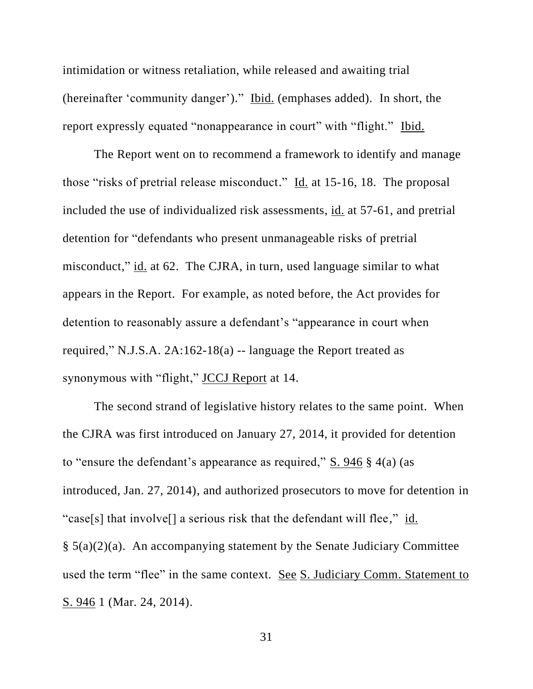intimidation or witness retaliation, while released and awaiting trial (hereinafter 'community danger')." Ibid. (emphases added). In short, the report expressly equated "nonappearance in court" with "flight." Ibid.

The Report went on to recommend a framework to identify and manage those "risks of pretrial release misconduct." Id. at 15-16, 18. The proposal included the use of individualized risk assessments, id. at 57-61, and pretrial detention for "defendants who present unmanageable risks of pretrial misconduct," id. at 62. The CJRA, in turn, used language similar to what appears in the Report. For example, as noted before, the Act provides for detention to reasonably assure a defendant's "appearance in court when required," N.J.S.A. 2A:162-18(a) -- language the Report treated as synonymous with "flight," JCCJ Report at 14.

The second strand of legislative history relates to the same point. When the CJRA was first introduced on January 27, 2014, it provided for detention to "ensure the defendant's appearance as required," S. 946 § 4(a) (as introduced, Jan. 27, 2014), and authorized prosecutors to move for detention in "case[s] that involve[] a serious risk that the defendant will flee," id.  $§ 5(a)(2)(a)$ . An accompanying statement by the Senate Judiciary Committee used the term "flee" in the same context. See S. Judiciary Comm. Statement to S. 946 1 (Mar. 24, 2014).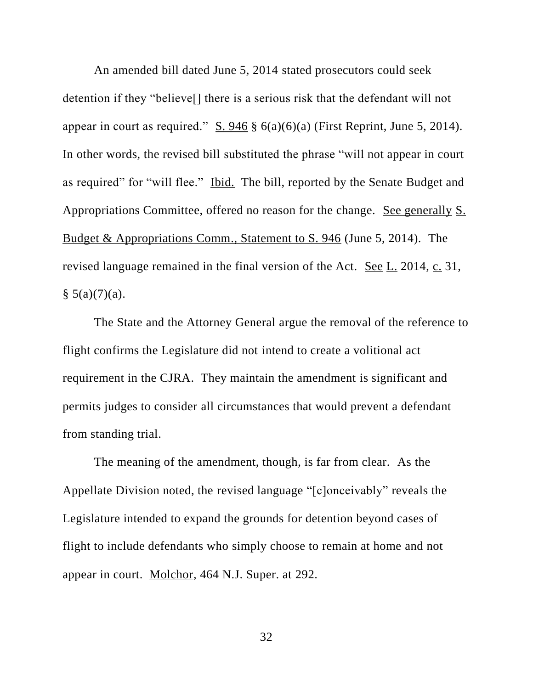An amended bill dated June 5, 2014 stated prosecutors could seek detention if they "believe[] there is a serious risk that the defendant will not appear in court as required." S. 946  $\S$  6(a)(6)(a) (First Reprint, June 5, 2014). In other words, the revised bill substituted the phrase "will not appear in court as required" for "will flee." Ibid. The bill, reported by the Senate Budget and Appropriations Committee, offered no reason for the change. See generally S. Budget & Appropriations Comm., Statement to S. 946 (June 5, 2014). The revised language remained in the final version of the Act. See L. 2014, c. 31,  $§ 5(a)(7)(a).$ 

The State and the Attorney General argue the removal of the reference to flight confirms the Legislature did not intend to create a volitional act requirement in the CJRA. They maintain the amendment is significant and permits judges to consider all circumstances that would prevent a defendant from standing trial.

The meaning of the amendment, though, is far from clear. As the Appellate Division noted, the revised language "[c]onceivably" reveals the Legislature intended to expand the grounds for detention beyond cases of flight to include defendants who simply choose to remain at home and not appear in court. Molchor, 464 N.J. Super. at 292.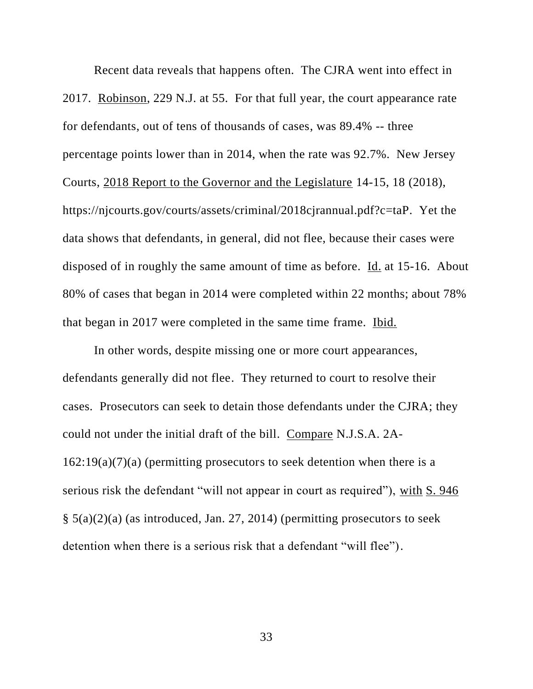Recent data reveals that happens often. The CJRA went into effect in 2017. Robinson, 229 N.J. at 55. For that full year, the court appearance rate for defendants, out of tens of thousands of cases, was 89.4% -- three percentage points lower than in 2014, when the rate was 92.7%. New Jersey Courts, 2018 Report to the Governor and the Legislature 14-15, 18 (2018), https://njcourts.gov/courts/assets/criminal/2018cjrannual.pdf?c=taP. Yet the data shows that defendants, in general, did not flee, because their cases were disposed of in roughly the same amount of time as before. Id. at 15-16. About 80% of cases that began in 2014 were completed within 22 months; about 78% that began in 2017 were completed in the same time frame. Ibid.

In other words, despite missing one or more court appearances, defendants generally did not flee. They returned to court to resolve their cases. Prosecutors can seek to detain those defendants under the CJRA; they could not under the initial draft of the bill. Compare N.J.S.A. 2A- $162:19(a)(7)(a)$  (permitting prosecutors to seek detention when there is a serious risk the defendant "will not appear in court as required"), with S. 946 § 5(a)(2)(a) (as introduced, Jan. 27, 2014) (permitting prosecutors to seek detention when there is a serious risk that a defendant "will flee").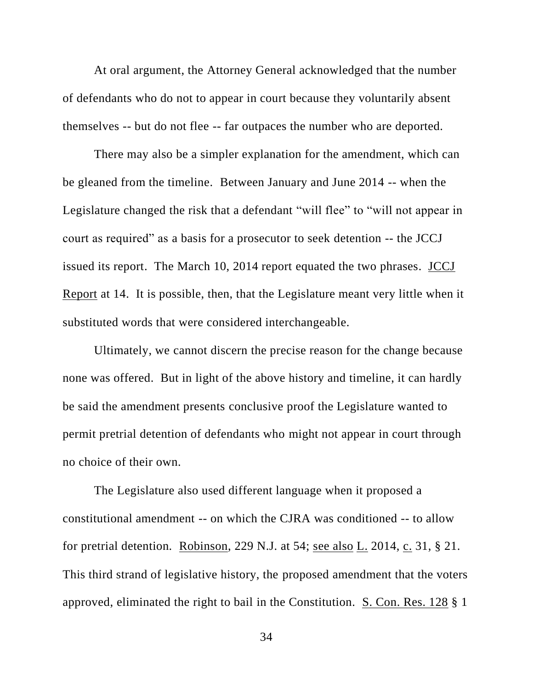At oral argument, the Attorney General acknowledged that the number of defendants who do not to appear in court because they voluntarily absent themselves -- but do not flee -- far outpaces the number who are deported.

There may also be a simpler explanation for the amendment, which can be gleaned from the timeline. Between January and June 2014 -- when the Legislature changed the risk that a defendant "will flee" to "will not appear in court as required" as a basis for a prosecutor to seek detention -- the JCCJ issued its report. The March 10, 2014 report equated the two phrases. JCCJ Report at 14. It is possible, then, that the Legislature meant very little when it substituted words that were considered interchangeable.

Ultimately, we cannot discern the precise reason for the change because none was offered. But in light of the above history and timeline, it can hardly be said the amendment presents conclusive proof the Legislature wanted to permit pretrial detention of defendants who might not appear in court through no choice of their own.

The Legislature also used different language when it proposed a constitutional amendment -- on which the CJRA was conditioned -- to allow for pretrial detention. Robinson, 229 N.J. at 54; see also L. 2014, c. 31, § 21. This third strand of legislative history, the proposed amendment that the voters approved, eliminated the right to bail in the Constitution. S. Con. Res. 128 § 1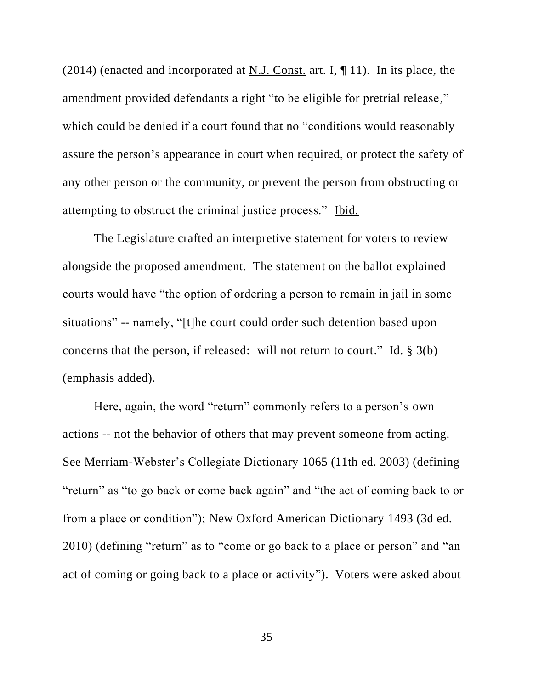(2014) (enacted and incorporated at N.J. Const. art. I,  $\P$  11). In its place, the amendment provided defendants a right "to be eligible for pretrial release," which could be denied if a court found that no "conditions would reasonably assure the person's appearance in court when required, or protect the safety of any other person or the community, or prevent the person from obstructing or attempting to obstruct the criminal justice process." Ibid.

The Legislature crafted an interpretive statement for voters to review alongside the proposed amendment. The statement on the ballot explained courts would have "the option of ordering a person to remain in jail in some situations" -- namely, "[t]he court could order such detention based upon concerns that the person, if released: will not return to court." Id. § 3(b) (emphasis added).

Here, again, the word "return" commonly refers to a person's own actions -- not the behavior of others that may prevent someone from acting. See Merriam-Webster's Collegiate Dictionary 1065 (11th ed. 2003) (defining "return" as "to go back or come back again" and "the act of coming back to or from a place or condition"); New Oxford American Dictionary 1493 (3d ed. 2010) (defining "return" as to "come or go back to a place or person" and "an act of coming or going back to a place or activity"). Voters were asked about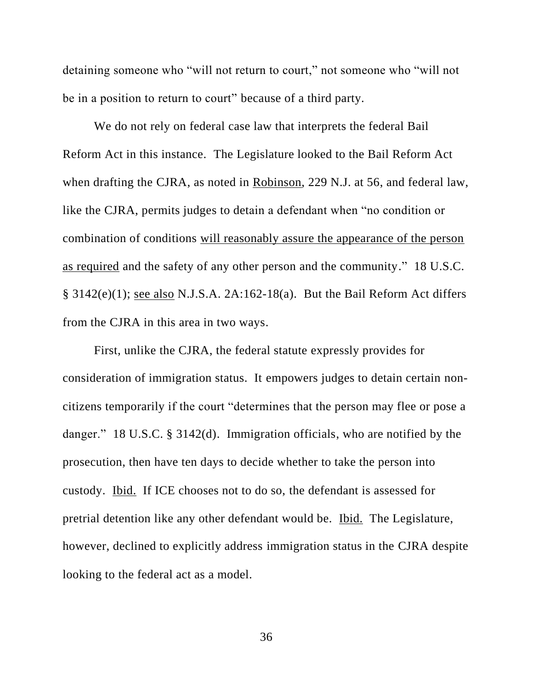detaining someone who "will not return to court," not someone who "will not be in a position to return to court" because of a third party.

We do not rely on federal case law that interprets the federal Bail Reform Act in this instance. The Legislature looked to the Bail Reform Act when drafting the CJRA, as noted in Robinson, 229 N.J. at 56, and federal law, like the CJRA, permits judges to detain a defendant when "no condition or combination of conditions will reasonably assure the appearance of the person as required and the safety of any other person and the community." 18 U.S.C. § 3142(e)(1); see also N.J.S.A. 2A:162-18(a). But the Bail Reform Act differs from the CJRA in this area in two ways.

First, unlike the CJRA, the federal statute expressly provides for consideration of immigration status. It empowers judges to detain certain noncitizens temporarily if the court "determines that the person may flee or pose a danger." 18 U.S.C. § 3142(d). Immigration officials, who are notified by the prosecution, then have ten days to decide whether to take the person into custody. Ibid. If ICE chooses not to do so, the defendant is assessed for pretrial detention like any other defendant would be. Ibid. The Legislature, however, declined to explicitly address immigration status in the CJRA despite looking to the federal act as a model.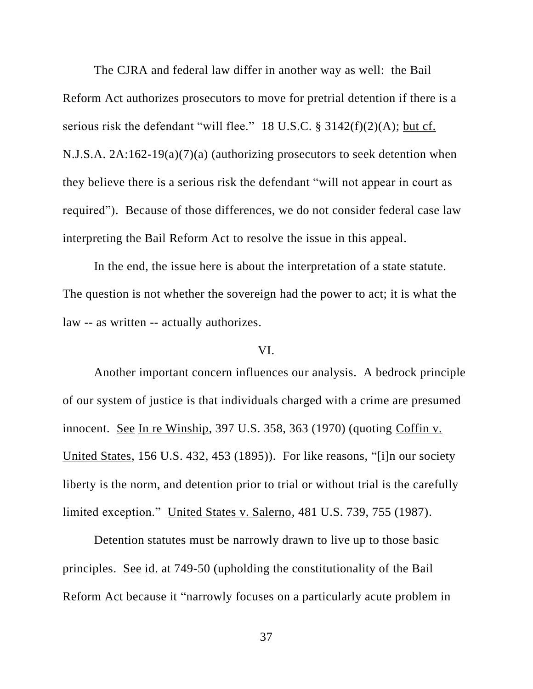The CJRA and federal law differ in another way as well: the Bail Reform Act authorizes prosecutors to move for pretrial detention if there is a serious risk the defendant "will flee." 18 U.S.C.  $\S$  3142(f)(2)(A); but cf. N.J.S.A. 2A:162-19(a)(7)(a) (authorizing prosecutors to seek detention when they believe there is a serious risk the defendant "will not appear in court as required"). Because of those differences, we do not consider federal case law interpreting the Bail Reform Act to resolve the issue in this appeal.

In the end, the issue here is about the interpretation of a state statute. The question is not whether the sovereign had the power to act; it is what the law -- as written -- actually authorizes.

# VI.

Another important concern influences our analysis. A bedrock principle of our system of justice is that individuals charged with a crime are presumed innocent. See In re Winship, 397 U.S. 358, 363 (1970) (quoting Coffin v. United States, 156 U.S. 432, 453 (1895)). For like reasons, "[i]n our society liberty is the norm, and detention prior to trial or without trial is the carefully limited exception." United States v. Salerno, 481 U.S. 739, 755 (1987).

Detention statutes must be narrowly drawn to live up to those basic principles. See id. at 749-50 (upholding the constitutionality of the Bail Reform Act because it "narrowly focuses on a particularly acute problem in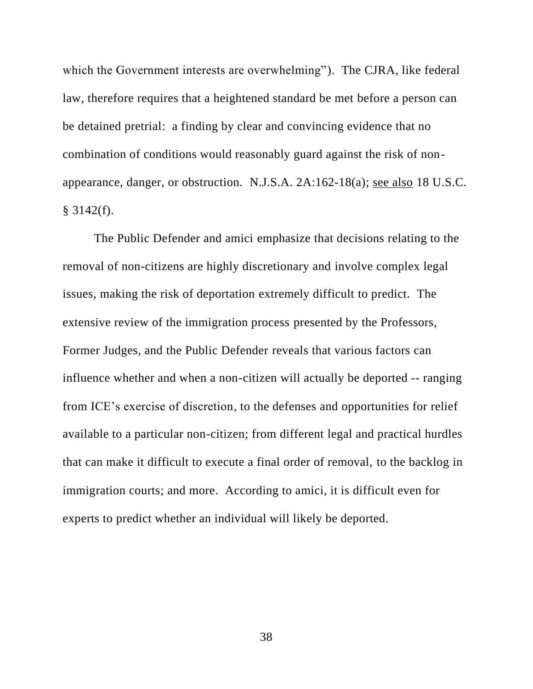which the Government interests are overwhelming"). The CJRA, like federal law, therefore requires that a heightened standard be met before a person can be detained pretrial: a finding by clear and convincing evidence that no combination of conditions would reasonably guard against the risk of nonappearance, danger, or obstruction. N.J.S.A. 2A:162-18(a); see also 18 U.S.C.  $$3142(f).$ 

The Public Defender and amici emphasize that decisions relating to the removal of non-citizens are highly discretionary and involve complex legal issues, making the risk of deportation extremely difficult to predict. The extensive review of the immigration process presented by the Professors, Former Judges, and the Public Defender reveals that various factors can influence whether and when a non-citizen will actually be deported -- ranging from ICE's exercise of discretion, to the defenses and opportunities for relief available to a particular non-citizen; from different legal and practical hurdles that can make it difficult to execute a final order of removal, to the backlog in immigration courts; and more. According to amici, it is difficult even for experts to predict whether an individual will likely be deported.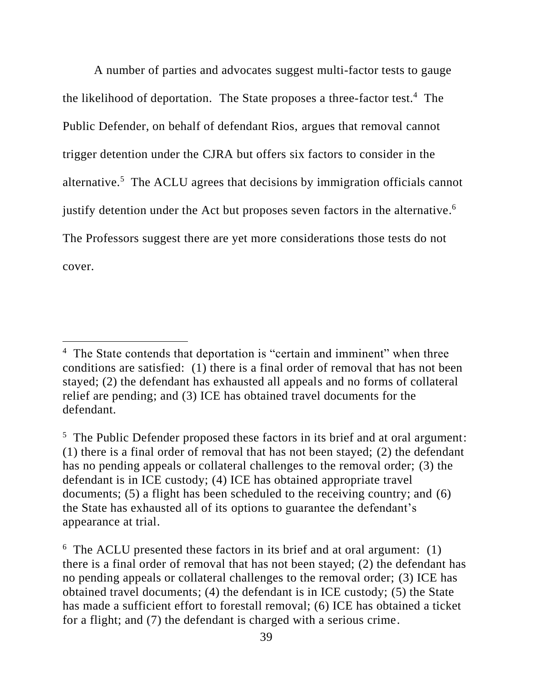A number of parties and advocates suggest multi-factor tests to gauge the likelihood of deportation. The State proposes a three-factor test.<sup>4</sup> The Public Defender, on behalf of defendant Rios, argues that removal cannot trigger detention under the CJRA but offers six factors to consider in the alternative.<sup>5</sup> The ACLU agrees that decisions by immigration officials cannot justify detention under the Act but proposes seven factors in the alternative.<sup>6</sup> The Professors suggest there are yet more considerations those tests do not cover.

<sup>&</sup>lt;sup>4</sup> The State contends that deportation is "certain and imminent" when three conditions are satisfied: (1) there is a final order of removal that has not been stayed; (2) the defendant has exhausted all appeals and no forms of collateral relief are pending; and (3) ICE has obtained travel documents for the defendant.

<sup>&</sup>lt;sup>5</sup> The Public Defender proposed these factors in its brief and at oral argument: (1) there is a final order of removal that has not been stayed; (2) the defendant has no pending appeals or collateral challenges to the removal order; (3) the defendant is in ICE custody; (4) ICE has obtained appropriate travel documents; (5) a flight has been scheduled to the receiving country; and (6) the State has exhausted all of its options to guarantee the defendant's appearance at trial.

<sup>&</sup>lt;sup>6</sup> The ACLU presented these factors in its brief and at oral argument: (1) there is a final order of removal that has not been stayed; (2) the defendant has no pending appeals or collateral challenges to the removal order; (3) ICE has obtained travel documents; (4) the defendant is in ICE custody; (5) the State has made a sufficient effort to forestall removal; (6) ICE has obtained a ticket for a flight; and (7) the defendant is charged with a serious crime.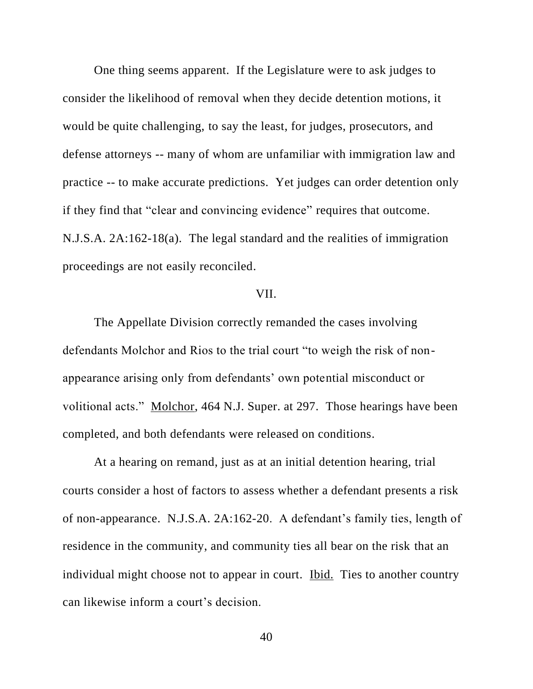One thing seems apparent. If the Legislature were to ask judges to consider the likelihood of removal when they decide detention motions, it would be quite challenging, to say the least, for judges, prosecutors, and defense attorneys -- many of whom are unfamiliar with immigration law and practice -- to make accurate predictions. Yet judges can order detention only if they find that "clear and convincing evidence" requires that outcome. N.J.S.A. 2A:162-18(a). The legal standard and the realities of immigration proceedings are not easily reconciled.

# VII.

The Appellate Division correctly remanded the cases involving defendants Molchor and Rios to the trial court "to weigh the risk of nonappearance arising only from defendants' own potential misconduct or volitional acts." Molchor, 464 N.J. Super. at 297. Those hearings have been completed, and both defendants were released on conditions.

At a hearing on remand, just as at an initial detention hearing, trial courts consider a host of factors to assess whether a defendant presents a risk of non-appearance. N.J.S.A. 2A:162-20. A defendant's family ties, length of residence in the community, and community ties all bear on the risk that an individual might choose not to appear in court. Ibid. Ties to another country can likewise inform a court's decision.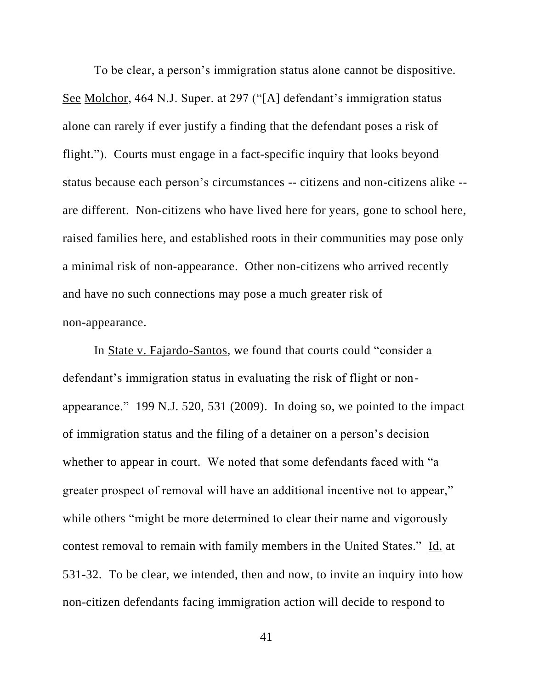To be clear, a person's immigration status alone cannot be dispositive. See Molchor, 464 N.J. Super. at 297 ("[A] defendant's immigration status alone can rarely if ever justify a finding that the defendant poses a risk of flight."). Courts must engage in a fact-specific inquiry that looks beyond status because each person's circumstances -- citizens and non-citizens alike - are different. Non-citizens who have lived here for years, gone to school here, raised families here, and established roots in their communities may pose only a minimal risk of non-appearance. Other non-citizens who arrived recently and have no such connections may pose a much greater risk of non-appearance.

In State v. Fajardo-Santos, we found that courts could "consider a defendant's immigration status in evaluating the risk of flight or nonappearance." 199 N.J. 520, 531 (2009). In doing so, we pointed to the impact of immigration status and the filing of a detainer on a person's decision whether to appear in court. We noted that some defendants faced with "a greater prospect of removal will have an additional incentive not to appear," while others "might be more determined to clear their name and vigorously contest removal to remain with family members in the United States." Id. at 531-32. To be clear, we intended, then and now, to invite an inquiry into how non-citizen defendants facing immigration action will decide to respond to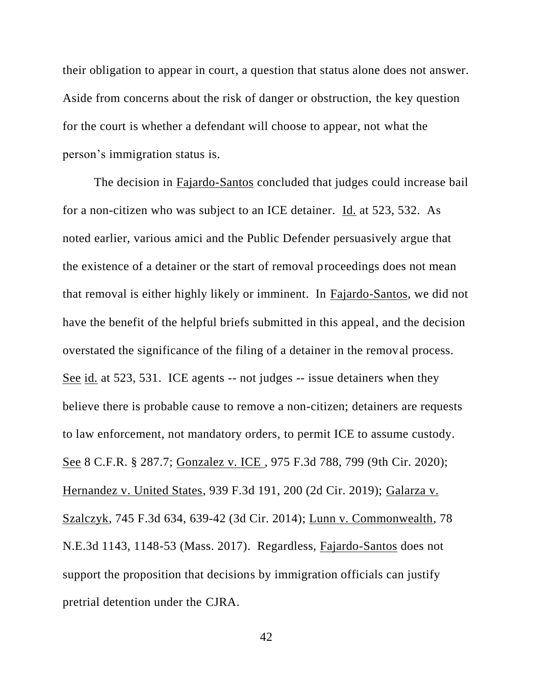their obligation to appear in court, a question that status alone does not answer. Aside from concerns about the risk of danger or obstruction, the key question for the court is whether a defendant will choose to appear, not what the person's immigration status is.

The decision in Fajardo-Santos concluded that judges could increase bail for a non-citizen who was subject to an ICE detainer. Id. at 523, 532. As noted earlier, various amici and the Public Defender persuasively argue that the existence of a detainer or the start of removal proceedings does not mean that removal is either highly likely or imminent. In Fajardo-Santos, we did not have the benefit of the helpful briefs submitted in this appeal, and the decision overstated the significance of the filing of a detainer in the removal process. See id. at 523, 531. ICE agents -- not judges -- issue detainers when they believe there is probable cause to remove a non-citizen; detainers are requests to law enforcement, not mandatory orders, to permit ICE to assume custody. See 8 C.F.R. § 287.7; Gonzalez v. ICE , 975 F.3d 788, 799 (9th Cir. 2020); Hernandez v. United States, 939 F.3d 191, 200 (2d Cir. 2019); Galarza v. Szalczyk, 745 F.3d 634, 639-42 (3d Cir. 2014); Lunn v. Commonwealth, 78 N.E.3d 1143, 1148-53 (Mass. 2017). Regardless, Fajardo-Santos does not support the proposition that decisions by immigration officials can justify pretrial detention under the CJRA.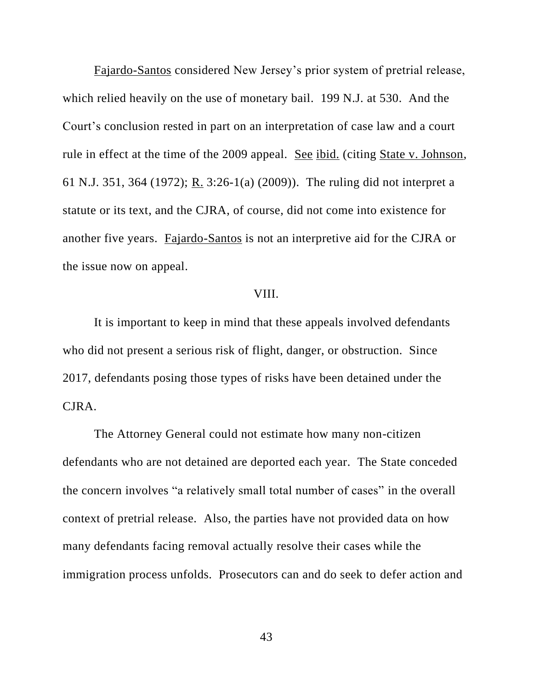Fajardo-Santos considered New Jersey's prior system of pretrial release, which relied heavily on the use of monetary bail. 199 N.J. at 530. And the Court's conclusion rested in part on an interpretation of case law and a court rule in effect at the time of the 2009 appeal. See ibid. (citing State v. Johnson, 61 N.J. 351, 364 (1972); R. 3:26-1(a) (2009)). The ruling did not interpret a statute or its text, and the CJRA, of course, did not come into existence for another five years. Fajardo-Santos is not an interpretive aid for the CJRA or the issue now on appeal.

## VIII.

It is important to keep in mind that these appeals involved defendants who did not present a serious risk of flight, danger, or obstruction. Since 2017, defendants posing those types of risks have been detained under the CJRA.

The Attorney General could not estimate how many non-citizen defendants who are not detained are deported each year. The State conceded the concern involves "a relatively small total number of cases" in the overall context of pretrial release. Also, the parties have not provided data on how many defendants facing removal actually resolve their cases while the immigration process unfolds. Prosecutors can and do seek to defer action and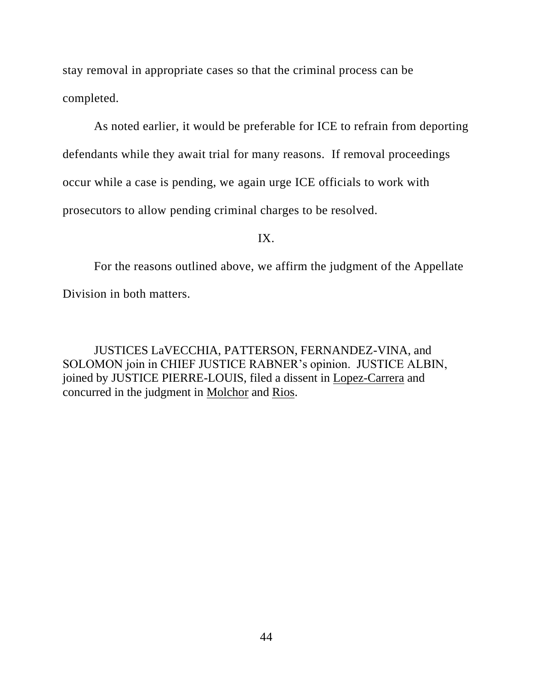stay removal in appropriate cases so that the criminal process can be completed.

As noted earlier, it would be preferable for ICE to refrain from deporting defendants while they await trial for many reasons. If removal proceedings occur while a case is pending, we again urge ICE officials to work with prosecutors to allow pending criminal charges to be resolved.

IX.

For the reasons outlined above, we affirm the judgment of the Appellate Division in both matters.

JUSTICES LaVECCHIA, PATTERSON, FERNANDEZ-VINA, and SOLOMON join in CHIEF JUSTICE RABNER's opinion. JUSTICE ALBIN, joined by JUSTICE PIERRE-LOUIS, filed a dissent in Lopez-Carrera and concurred in the judgment in Molchor and Rios.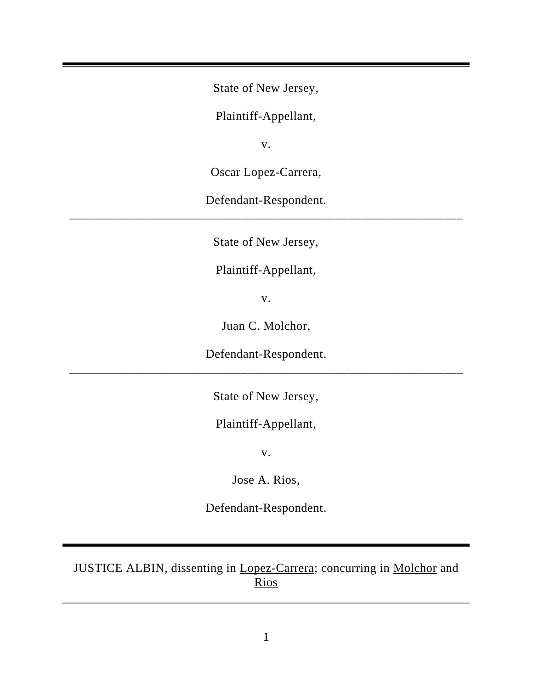State of New Jersey,

Plaintiff-Appellant,

v.

Oscar Lopez-Carrera,

Defendant-Respondent. \_\_\_\_\_\_\_\_\_\_\_\_\_\_\_\_\_\_\_\_\_\_\_\_\_\_\_\_\_\_\_\_\_\_\_\_\_\_\_\_\_\_\_\_\_\_\_\_\_\_\_\_\_\_\_\_\_\_\_\_\_\_

State of New Jersey,

Plaintiff-Appellant,

v.

Juan C. Molchor,

Defendant-Respondent. \_\_\_\_\_\_\_\_\_\_\_\_\_\_\_\_\_\_\_\_\_\_\_\_\_\_\_\_\_\_\_\_\_\_\_\_\_\_\_\_\_\_\_\_\_\_\_\_\_\_\_\_\_\_\_\_\_\_\_\_\_\_

State of New Jersey,

Plaintiff-Appellant,

v.

Jose A. Rios,

Defendant-Respondent.

JUSTICE ALBIN, dissenting in Lopez-Carrera; concurring in Molchor and Rios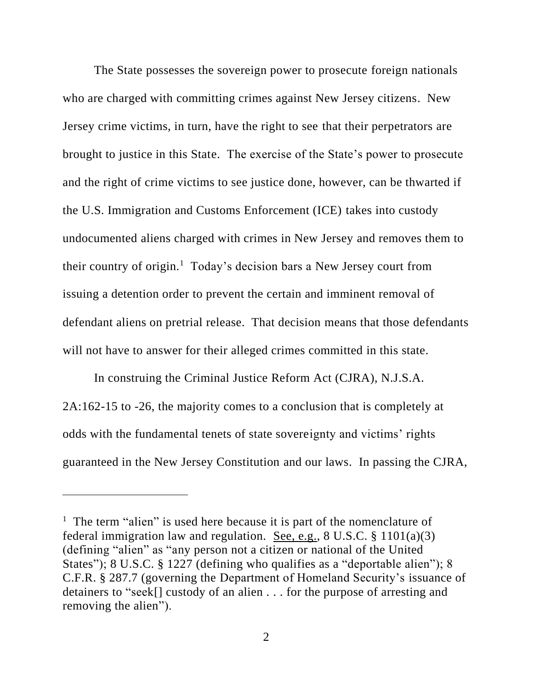The State possesses the sovereign power to prosecute foreign nationals who are charged with committing crimes against New Jersey citizens. New Jersey crime victims, in turn, have the right to see that their perpetrators are brought to justice in this State. The exercise of the State's power to prosecute and the right of crime victims to see justice done, however, can be thwarted if the U.S. Immigration and Customs Enforcement (ICE) takes into custody undocumented aliens charged with crimes in New Jersey and removes them to their country of origin.<sup>1</sup> Today's decision bars a New Jersey court from issuing a detention order to prevent the certain and imminent removal of defendant aliens on pretrial release. That decision means that those defendants will not have to answer for their alleged crimes committed in this state.

In construing the Criminal Justice Reform Act (CJRA), N.J.S.A. 2A:162-15 to -26, the majority comes to a conclusion that is completely at odds with the fundamental tenets of state sovereignty and victims' rights guaranteed in the New Jersey Constitution and our laws. In passing the CJRA,

<sup>&</sup>lt;sup>1</sup> The term "alien" is used here because it is part of the nomenclature of federal immigration law and regulation. See, e.g.,  $8 \text{ U.S.C.} \$   $1101(a)(3)$ (defining "alien" as "any person not a citizen or national of the United States"); 8 U.S.C. § 1227 (defining who qualifies as a "deportable alien"); 8 C.F.R. § 287.7 (governing the Department of Homeland Security's issuance of detainers to "seek[] custody of an alien . . . for the purpose of arresting and removing the alien").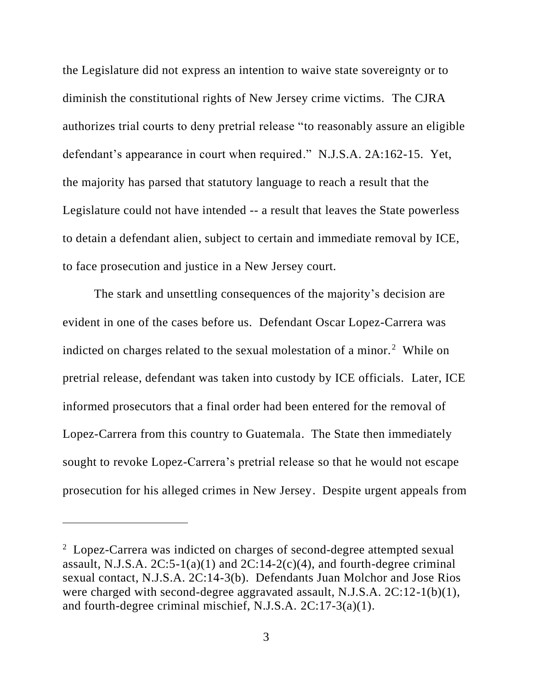the Legislature did not express an intention to waive state sovereignty or to diminish the constitutional rights of New Jersey crime victims. The CJRA authorizes trial courts to deny pretrial release "to reasonably assure an eligible defendant's appearance in court when required." N.J.S.A. 2A:162-15. Yet, the majority has parsed that statutory language to reach a result that the Legislature could not have intended -- a result that leaves the State powerless to detain a defendant alien, subject to certain and immediate removal by ICE, to face prosecution and justice in a New Jersey court.

The stark and unsettling consequences of the majority's decision are evident in one of the cases before us. Defendant Oscar Lopez-Carrera was indicted on charges related to the sexual molestation of a minor.<sup>2</sup> While on pretrial release, defendant was taken into custody by ICE officials. Later, ICE informed prosecutors that a final order had been entered for the removal of Lopez-Carrera from this country to Guatemala. The State then immediately sought to revoke Lopez-Carrera's pretrial release so that he would not escape prosecution for his alleged crimes in New Jersey. Despite urgent appeals from

 $2$  Lopez-Carrera was indicted on charges of second-degree attempted sexual assault, N.J.S.A.  $2C:5-1(a)(1)$  and  $2C:14-2(c)(4)$ , and fourth-degree criminal sexual contact, N.J.S.A. 2C:14-3(b). Defendants Juan Molchor and Jose Rios were charged with second-degree aggravated assault, N.J.S.A. 2C:12-1(b)(1), and fourth-degree criminal mischief, N.J.S.A. 2C:17-3(a)(1).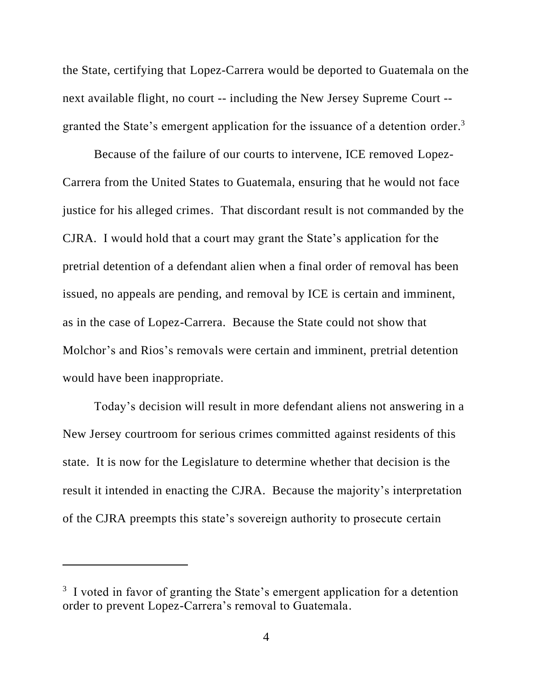the State, certifying that Lopez-Carrera would be deported to Guatemala on the next available flight, no court -- including the New Jersey Supreme Court - granted the State's emergent application for the issuance of a detention order.<sup>3</sup>

Because of the failure of our courts to intervene, ICE removed Lopez-Carrera from the United States to Guatemala, ensuring that he would not face justice for his alleged crimes. That discordant result is not commanded by the CJRA. I would hold that a court may grant the State's application for the pretrial detention of a defendant alien when a final order of removal has been issued, no appeals are pending, and removal by ICE is certain and imminent, as in the case of Lopez-Carrera. Because the State could not show that Molchor's and Rios's removals were certain and imminent, pretrial detention would have been inappropriate.

Today's decision will result in more defendant aliens not answering in a New Jersey courtroom for serious crimes committed against residents of this state. It is now for the Legislature to determine whether that decision is the result it intended in enacting the CJRA. Because the majority's interpretation of the CJRA preempts this state's sovereign authority to prosecute certain

<sup>&</sup>lt;sup>3</sup> I voted in favor of granting the State's emergent application for a detention order to prevent Lopez-Carrera's removal to Guatemala.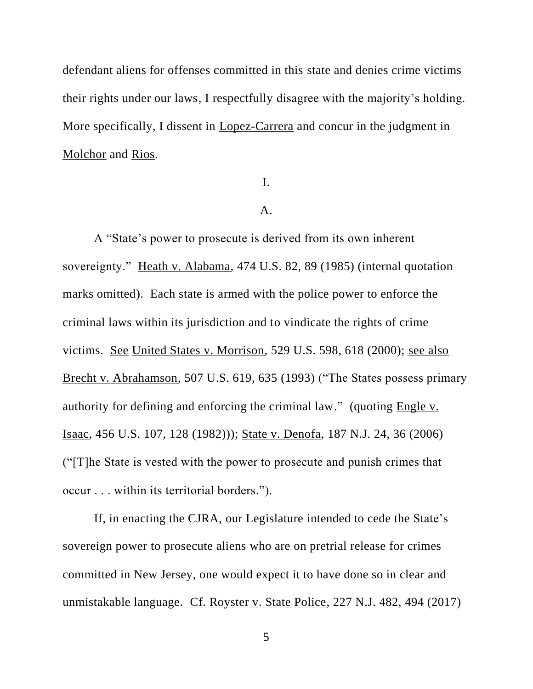defendant aliens for offenses committed in this state and denies crime victims their rights under our laws, I respectfully disagree with the majority's holding. More specifically, I dissent in Lopez-Carrera and concur in the judgment in Molchor and Rios.

I.

#### A.

A "State's power to prosecute is derived from its own inherent sovereignty." Heath v. Alabama, 474 U.S. 82, 89 (1985) (internal quotation marks omitted). Each state is armed with the police power to enforce the criminal laws within its jurisdiction and to vindicate the rights of crime victims. See United States v. Morrison, 529 U.S. 598, 618 (2000); see also Brecht v. Abrahamson, 507 U.S. 619, 635 (1993) ("The States possess primary authority for defining and enforcing the criminal law." (quoting Engle v. Isaac, 456 U.S. 107, 128 (1982))); State v. Denofa, 187 N.J. 24, 36 (2006) ("[T]he State is vested with the power to prosecute and punish crimes that occur . . . within its territorial borders.").

If, in enacting the CJRA, our Legislature intended to cede the State's sovereign power to prosecute aliens who are on pretrial release for crimes committed in New Jersey, one would expect it to have done so in clear and unmistakable language. Cf. Royster v. State Police, 227 N.J. 482, 494 (2017)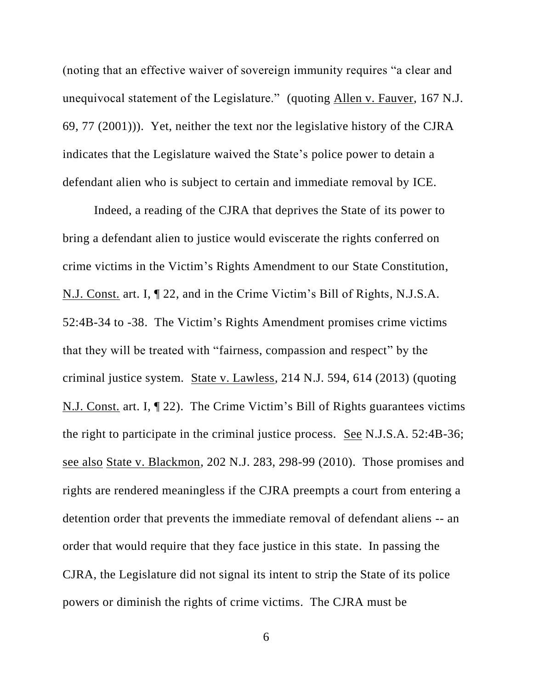(noting that an effective waiver of sovereign immunity requires "a clear and unequivocal statement of the Legislature." (quoting Allen v. Fauver, 167 N.J. 69, 77 (2001))). Yet, neither the text nor the legislative history of the CJRA indicates that the Legislature waived the State's police power to detain a defendant alien who is subject to certain and immediate removal by ICE.

Indeed, a reading of the CJRA that deprives the State of its power to bring a defendant alien to justice would eviscerate the rights conferred on crime victims in the Victim's Rights Amendment to our State Constitution, N.J. Const. art. I, ¶ 22, and in the Crime Victim's Bill of Rights, N.J.S.A. 52:4B-34 to -38. The Victim's Rights Amendment promises crime victims that they will be treated with "fairness, compassion and respect" by the criminal justice system. State v. Lawless, 214 N.J. 594, 614 (2013) (quoting N.J. Const. art. I, ¶ 22). The Crime Victim's Bill of Rights guarantees victims the right to participate in the criminal justice process. See N.J.S.A. 52:4B-36; see also State v. Blackmon, 202 N.J. 283, 298-99 (2010). Those promises and rights are rendered meaningless if the CJRA preempts a court from entering a detention order that prevents the immediate removal of defendant aliens -- an order that would require that they face justice in this state. In passing the CJRA, the Legislature did not signal its intent to strip the State of its police powers or diminish the rights of crime victims. The CJRA must be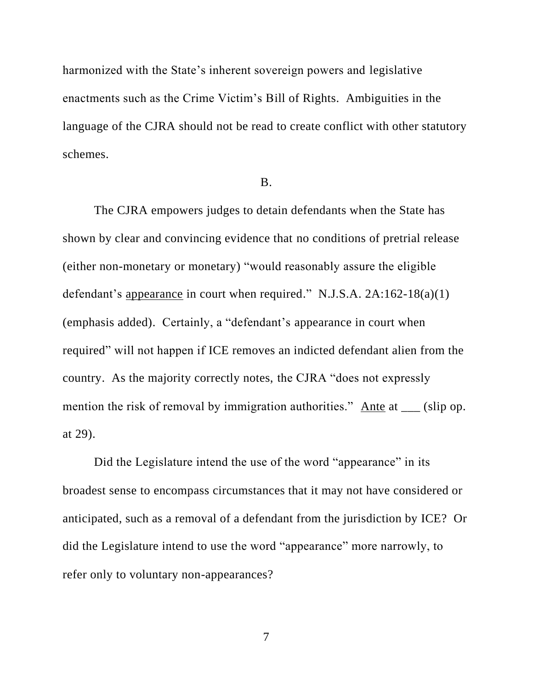harmonized with the State's inherent sovereign powers and legislative enactments such as the Crime Victim's Bill of Rights. Ambiguities in the language of the CJRA should not be read to create conflict with other statutory schemes.

#### B.

The CJRA empowers judges to detain defendants when the State has shown by clear and convincing evidence that no conditions of pretrial release (either non-monetary or monetary) "would reasonably assure the eligible defendant's appearance in court when required." N.J.S.A. 2A:162-18(a)(1) (emphasis added). Certainly, a "defendant's appearance in court when required" will not happen if ICE removes an indicted defendant alien from the country. As the majority correctly notes, the CJRA "does not expressly mention the risk of removal by immigration authorities." Ante at \_\_\_ (slip op. at 29).

Did the Legislature intend the use of the word "appearance" in its broadest sense to encompass circumstances that it may not have considered or anticipated, such as a removal of a defendant from the jurisdiction by ICE? Or did the Legislature intend to use the word "appearance" more narrowly, to refer only to voluntary non-appearances?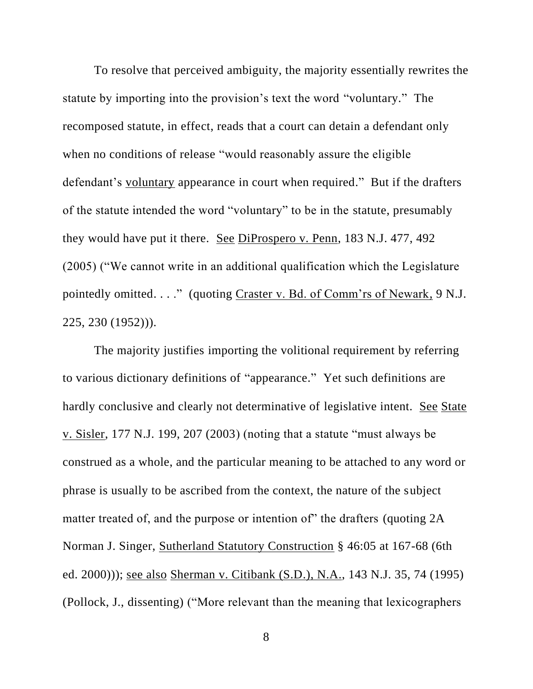To resolve that perceived ambiguity, the majority essentially rewrites the statute by importing into the provision's text the word "voluntary." The recomposed statute, in effect, reads that a court can detain a defendant only when no conditions of release "would reasonably assure the eligible defendant's voluntary appearance in court when required." But if the drafters of the statute intended the word "voluntary" to be in the statute, presumably they would have put it there. See DiProspero v. Penn, 183 N.J. 477, 492 (2005) ("We cannot write in an additional qualification which the Legislature pointedly omitted. . . ." (quoting Craster v. Bd. of Comm'rs of Newark, 9 N.J. 225, 230 (1952))).

The majority justifies importing the volitional requirement by referring to various dictionary definitions of "appearance." Yet such definitions are hardly conclusive and clearly not determinative of legislative intent. See State v. Sisler, 177 N.J. 199, 207 (2003) (noting that a statute "must always be construed as a whole, and the particular meaning to be attached to any word or phrase is usually to be ascribed from the context, the nature of the subject matter treated of, and the purpose or intention of" the drafters (quoting 2A) Norman J. Singer, Sutherland Statutory Construction § 46:05 at 167-68 (6th ed. 2000))); see also Sherman v. Citibank (S.D.), N.A., 143 N.J. 35, 74 (1995) (Pollock, J., dissenting) ("More relevant than the meaning that lexicographers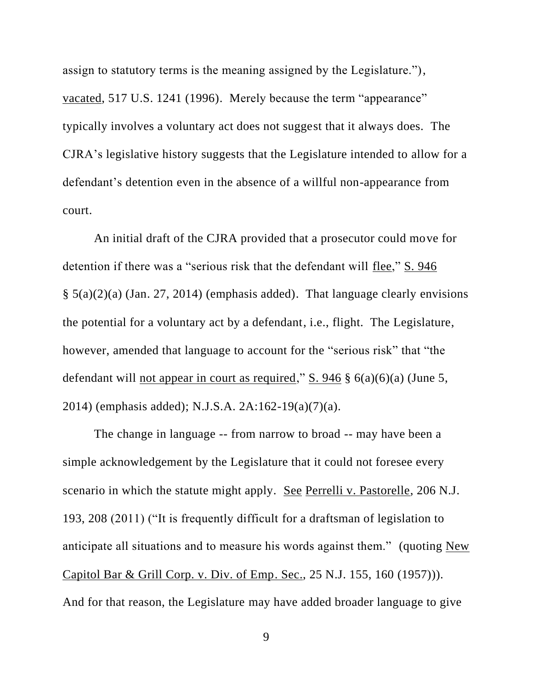assign to statutory terms is the meaning assigned by the Legislature."), vacated, 517 U.S. 1241 (1996). Merely because the term "appearance" typically involves a voluntary act does not suggest that it always does. The CJRA's legislative history suggests that the Legislature intended to allow for a defendant's detention even in the absence of a willful non-appearance from court.

An initial draft of the CJRA provided that a prosecutor could move for detention if there was a "serious risk that the defendant will flee," S. 946 § 5(a)(2)(a) (Jan. 27, 2014) (emphasis added). That language clearly envisions the potential for a voluntary act by a defendant, i.e., flight. The Legislature, however, amended that language to account for the "serious risk" that "the defendant will not appear in court as required," S. 946  $\S$  6(a)(6)(a) (June 5, 2014) (emphasis added); N.J.S.A. 2A:162-19(a)(7)(a).

The change in language -- from narrow to broad -- may have been a simple acknowledgement by the Legislature that it could not foresee every scenario in which the statute might apply. See Perrelli v. Pastorelle, 206 N.J. 193, 208 (2011) ("It is frequently difficult for a draftsman of legislation to anticipate all situations and to measure his words against them." (quoting New Capitol Bar & Grill Corp. v. Div. of Emp. Sec., 25 N.J. 155, 160 (1957))). And for that reason, the Legislature may have added broader language to give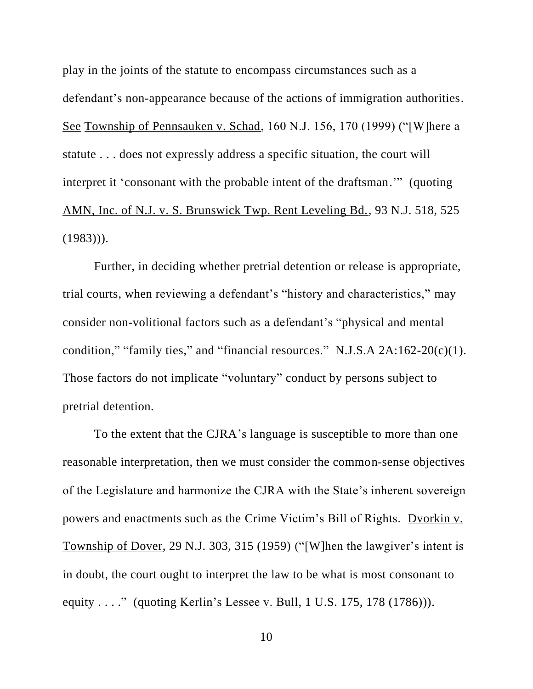play in the joints of the statute to encompass circumstances such as a defendant's non-appearance because of the actions of immigration authorities. See Township of Pennsauken v. Schad, 160 N.J. 156, 170 (1999) ("[W]here a statute . . . does not expressly address a specific situation, the court will interpret it 'consonant with the probable intent of the draftsman.'" (quoting AMN, Inc. of N.J. v. S. Brunswick Twp. Rent Leveling Bd., 93 N.J. 518, 525  $(1983))$ .

Further, in deciding whether pretrial detention or release is appropriate, trial courts, when reviewing a defendant's "history and characteristics," may consider non-volitional factors such as a defendant's "physical and mental condition," "family ties," and "financial resources." N.J.S.A  $2A:162-20(c)(1)$ . Those factors do not implicate "voluntary" conduct by persons subject to pretrial detention.

To the extent that the CJRA's language is susceptible to more than one reasonable interpretation, then we must consider the common-sense objectives of the Legislature and harmonize the CJRA with the State's inherent sovereign powers and enactments such as the Crime Victim's Bill of Rights. Dvorkin v. Township of Dover, 29 N.J. 303, 315 (1959) ("[W]hen the lawgiver's intent is in doubt, the court ought to interpret the law to be what is most consonant to equity . . . ." (quoting Kerlin's Lessee v. Bull, 1 U.S. 175, 178 (1786)).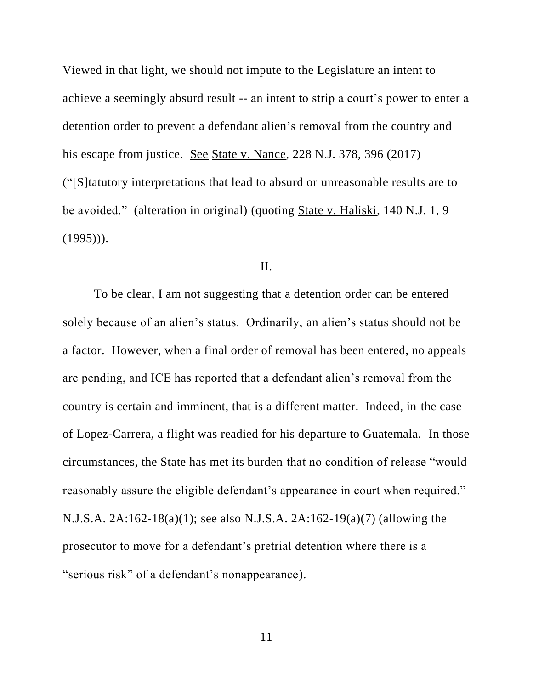Viewed in that light, we should not impute to the Legislature an intent to achieve a seemingly absurd result -- an intent to strip a court's power to enter a detention order to prevent a defendant alien's removal from the country and his escape from justice. See State v. Nance, 228 N.J. 378, 396 (2017) ("[S]tatutory interpretations that lead to absurd or unreasonable results are to be avoided." (alteration in original) (quoting State v. Haliski, 140 N.J. 1, 9  $(1995))$ .

# II.

To be clear, I am not suggesting that a detention order can be entered solely because of an alien's status. Ordinarily, an alien's status should not be a factor. However, when a final order of removal has been entered, no appeals are pending, and ICE has reported that a defendant alien's removal from the country is certain and imminent, that is a different matter. Indeed, in the case of Lopez-Carrera, a flight was readied for his departure to Guatemala. In those circumstances, the State has met its burden that no condition of release "would reasonably assure the eligible defendant's appearance in court when required." N.J.S.A. 2A:162-18(a)(1); see also N.J.S.A. 2A:162-19(a)(7) (allowing the prosecutor to move for a defendant's pretrial detention where there is a "serious risk" of a defendant's nonappearance).